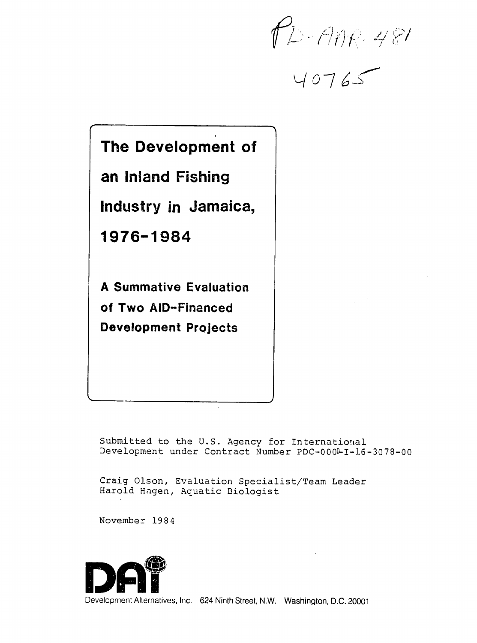$P_{D-1112481}$ 

*0-7* **-S'** 

# **The Development of an Inland Fishing Industry in Jamaica, 1976-1984 A Summative Evaluation of Two AID-Financed Development Projects**

Submitted to the U.S. Agency for International Development under Contract Number PDC-0000-I-16-3078-00

Craig Olson, Evaluation Specialist/Team Leader Harold Hagen, Aquatic Biologist

November 1984

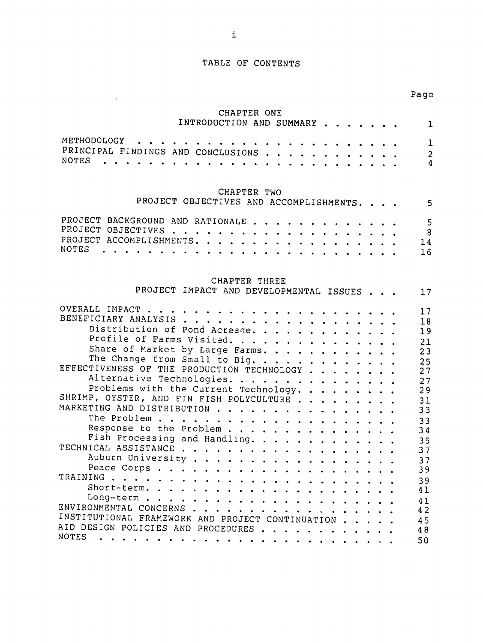## TABLE OF **CONTENTS**

# CHAPTER **ONE**

 $\sim 10^{11}$ 

|                                                    |               |                                                                                                                                     |             | INTRODUCTION AND SUMMARY           |  |  | 1  |
|----------------------------------------------------|---------------|-------------------------------------------------------------------------------------------------------------------------------------|-------------|------------------------------------|--|--|----|
| METHODOLOGY                                        |               |                                                                                                                                     |             |                                    |  |  | ı  |
| PRINCIPAL FINDINGS AND CONCLUSIONS<br><b>NOTES</b> |               |                                                                                                                                     |             | $\blacksquare$                     |  |  | 2  |
|                                                    |               |                                                                                                                                     |             |                                    |  |  | 4  |
| PROJECT OBJECTIVES AND ACCOMPLISHMENTS.            |               |                                                                                                                                     | CHAPTER TWO |                                    |  |  | 5  |
| PROJECT BACKGROUND                                 | AND RATIONALE |                                                                                                                                     |             | $\sim$ $\sim$ $\sim$ $\sim$ $\sim$ |  |  |    |
| PROJECT OBJECTIVES                                 |               | $\begin{array}{cccccccccccccc} \bullet & \bullet & \bullet & \bullet & \bullet & \bullet & \bullet & \bullet & \bullet \end{array}$ |             |                                    |  |  | 8  |
| PROJECT ACCOMPLISHMENTS.<br><b>NOTES</b>           |               |                                                                                                                                     |             |                                    |  |  | 14 |
|                                                    |               |                                                                                                                                     |             |                                    |  |  | 16 |

# CHAPTER THREE

| PROJECT IMPACT AND DEVELOPMENTAL ISSUES          |  | 17 |
|--------------------------------------------------|--|----|
|                                                  |  | 17 |
|                                                  |  | 18 |
| Distribution of Pond Acreage.                    |  | 19 |
| Profile of Farms Visited.                        |  | 21 |
| Share of Market by Large Farms.                  |  |    |
| The Change from Small to Big.                    |  | 23 |
|                                                  |  | 25 |
| EFFECTIVENESS OF THE PRODUCTION TECHNOLOGY       |  | 27 |
| Alternative Technologies.                        |  | 27 |
| Problems with the Current Technology.            |  | 29 |
| SHRIMP, OYSTER, AND FIN FISH POLYCULTURE         |  | 31 |
| MARKETING AND DISTRIBUTION                       |  | 33 |
|                                                  |  | 33 |
| Response to the Problem                          |  | 34 |
| Fish Processing and Handling.                    |  | 35 |
|                                                  |  | 37 |
|                                                  |  | 37 |
|                                                  |  |    |
|                                                  |  | 39 |
|                                                  |  | 39 |
|                                                  |  | 41 |
|                                                  |  | 41 |
| ENVIRONMENTAL CONCERNS                           |  | 42 |
| INSTITUTIONAL FRAMEWORK AND PROJECT CONTINUATION |  | 45 |
| AID DESIGN POLICIES AND PROCEDURES               |  | 48 |
| NOTES                                            |  | 50 |
|                                                  |  |    |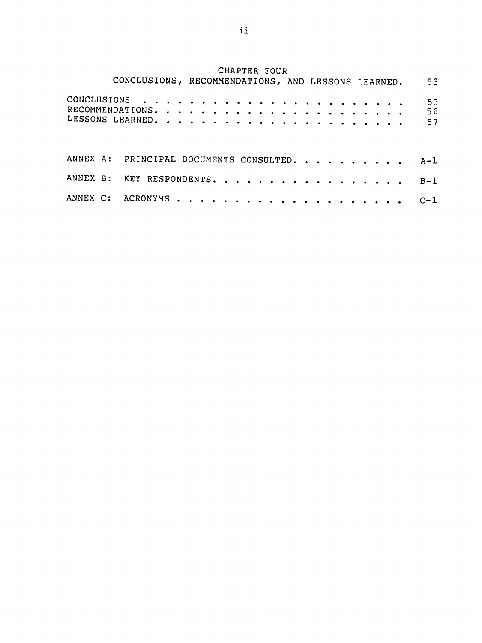# CHAPTER FOUR

|                           | CONCLUSIONS, RECOMMENDATIONS, AND LESSONS LEARNED. |  |  |  |  |  |  |  |  |  |  |  | 53                                          |
|---------------------------|----------------------------------------------------|--|--|--|--|--|--|--|--|--|--|--|---------------------------------------------|
|                           |                                                    |  |  |  |  |  |  |  |  |  |  |  | 53<br>56<br>57                              |
|                           |                                                    |  |  |  |  |  |  |  |  |  |  |  | ANNEX A: PRINCIPAL DOCUMENTS CONSULTED. A-1 |
| ANNEX B: KEY RESPONDENTS. |                                                    |  |  |  |  |  |  |  |  |  |  |  | $B-1$                                       |
|                           |                                                    |  |  |  |  |  |  |  |  |  |  |  | $C-1$                                       |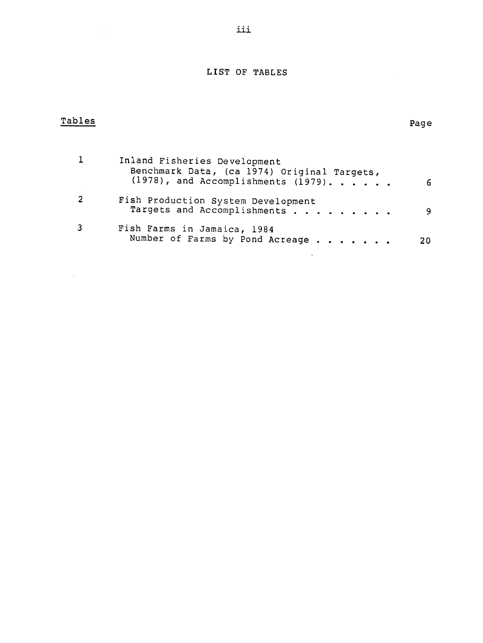# LIST OF **TABLES**

| Tables |                                                                                                                          | Page |
|--------|--------------------------------------------------------------------------------------------------------------------------|------|
|        | Inland Fisheries Development<br>Benchmark Data, (ca 1974) Original Targets,<br>$(1978)$ , and Accomplishments $(1979)$ . | 6    |
| 2      | Fish Production System Development<br>Targets and Accomplishments                                                        | 9    |
| 3      | Fish Farms in Jamaica, 1984<br>Number of Farms by Pond Acreage                                                           | 20   |

 $\mathcal{L}^{\text{max}}_{\text{max}}$  and  $\mathcal{L}^{\text{max}}_{\text{max}}$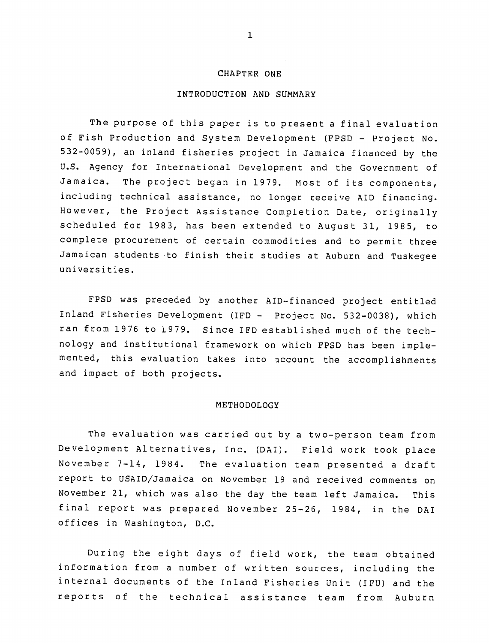#### CHAPTER **ONE**

#### INTRODUCTION **AND** SUMMARY

The purpose of this paper is to present a final evaluation of Fish Production and System Development (FPSD - Project No. 532-0059), an inland fisheries project in Jamaica financed by the U.S. Agency for International Development and the Government of Jamaica. The project began in 1979. Most of its components, including technical assistance, no longer receive AID financing. However, the Project Assistance Completion Date, originally scheduled for 1983, has been extended to August 31, 1985, to complete procurement of certain commodities and to permit three Jamaican students to finish their studies at Auburn and Tuskegee universities.

FPSD was preceded by another AID-financed project entitled Inland Fisheries Development (IFD - Project No. 532-0038), which ran from 1976 to i979. Since IFD established much of the technology and institutional framework on which FPSD has been implemented, this evaluation takes into account the accomplishments and impact of both projects.

#### METHODOLOGY

The evaluation was carried out by a two-person team from Development Alternatives, Inc. (DAI). Field work took place November 7-14, 1984. The evaluation team presented a draft report to USAID/Jamaica on November 19 and received comments on November 21, which was also the day the team left Jamaica. This final report was prepared November 25-26, 1984, in the DAI offices in Washington, D.C.

During the eight days of field work, the team obtained information from a number of written sources, including the internal documents of the Inland Fisheries Unit (IFU) and the reports of the technical assistance team from Auburn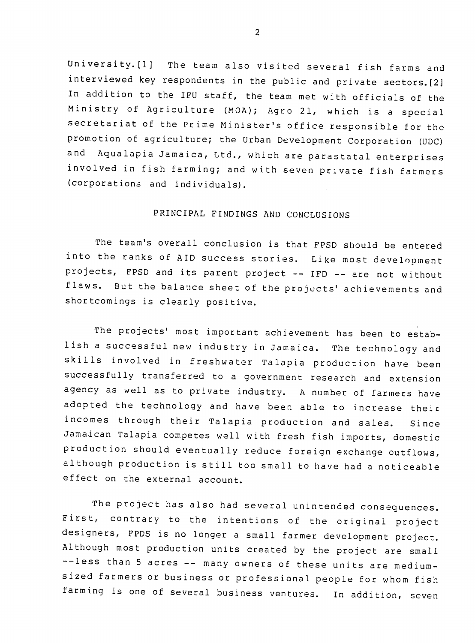University.[l] The team also visited several fish farms and interviewed key respondents in the public and private sectors.[2] In addition to the IFU staff, the team met with officials of the Ministry of Agriculture (MOA); Agro 21, which is a special secretariat of the Prime Minister's office responsible for the promotion of agriculture; the Urban Development Corporation (UDC) and Aqualapia Jamaica, Ltd., which are parastatal enterprises involved in fish farming; and with seven private fish farmers (corporations and individuals).

# PRINCIPAL FINDINGS AND CONCLUSIONS

The team's overall conclusion is that FPSD should be entered into the ranks of AID success stories. Like most development projects, FPSD and its parent project -- IFD -- are not without flaws. But the balance sheet of the projucts' achievements and shortcomings is clearly positive.

The projects' most important achievement has been to establish a successful new industry in Jamaica. The technology and skills involved in freshwater Talapia production have been successfully transferred to a government research and extension agency as well as to private industry. A number of farmers have adopted the technology and have been able to increase their incomes through their Talapia production and sales. Since Jamaican Talapia competes well with fresh fish imports, domestic production should eventually reduce foreign exchange outflows, although production is still too small to have had a noticeable effect on the external account.

-- less than 5 acres -- many owners of these units are medium-The project has also had several unintended consequences. First, contrary to the intentions of the original project designers, FPDS is no longer a small farmer development project. Although most production units created by the project are small sized farmers or business or professional people for whom fish farming is one of several business ventures. In addition, seven

 $\sim$  2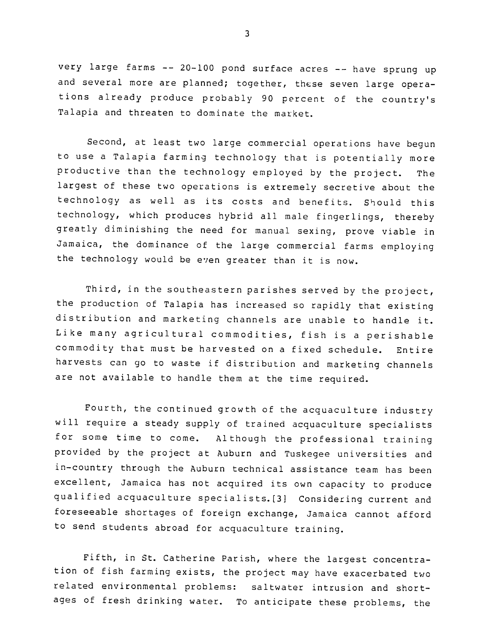very large farms -- 20-100 pond surface acres -- have sprung up and several more are planned; together, these seven large operations already produce probably 90 percent of the country's Talapia and threaten to dominate the market.

Second, at least two large commercial operations have begun to use a Talapia farming technology that is potentially more productive than the technology employed by the project. The largest of these two operations is extremely secretive about the technology as well as its costs and benefits. Should this technology, which produces hybrid all male fingerlings, thereby greatly diminishing the need for manual sexing, prove viable in Jamaica, the dominance of the large commercial farms employing the technology would be even greater than it is now.

Third, in the southeastern parishes served by the project, the production of Talapia has increased so rapidly that existing distribution and marketing channels are unable to handle it. Like many agricultural commodities, fish is a perishable commodity that must be harvested on a fixed schedule. Entire harvests can go to waste if distribution and marketing channels are not available to handle them at the time required.

Fourth, the continued growth of the acquaculture industry will require a steady supply of trained acquaculture specialists for some time to come. Although the professional training provided by the project at Auburn and Tuskegee universities and in-country through the Auburn technical assistance team has been excellent, Jamaica has not acquired its own capacity to produce qualified acquaculture specialists.[3] Considering current and foreseeable shortages of foreign exchange, Jamaica cannot afford to send students abroad for acquaculture training.

Fifth, in St. Catherine Parish, where the largest concentration of fish farming exists, the project may have exacerbated two related environmental problems: saltwater intrusion and shortages of fresh drinking water. To anticipate these problems, the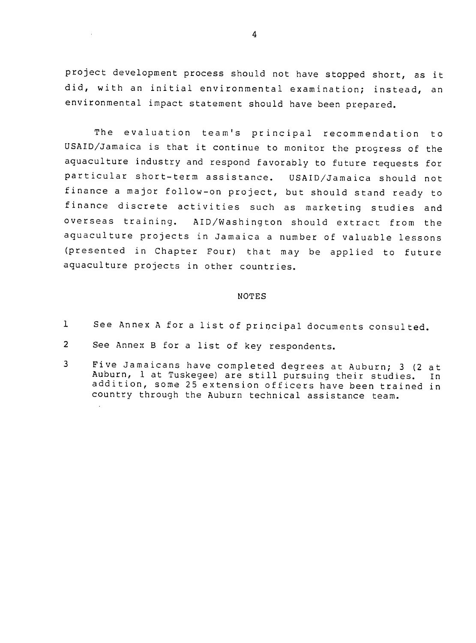project development process should not have stopped short, as it did, with an initial environmental examination; instead, an environmental impact statement should have been prepared.

The evaluation team's principal recommendation to USAID/Jamaica is that it continue to monitor the progress of the aquaculture industry and respond favorably to future requests for particular short-term assistance. USAID/Jamaica should not finance a major follow-on project, but should stand ready to finance discrete activities such as marketing studies and overseas training. AID/Washington should extract from the aquaculture projects in Jamaica a number of valuable lessons (presented in Chapter Four) that may be applied to future aquaculture projects in other countries.

#### NOTES

- 1 See Annex A for a list of principal documents consulted.
- 2 See Annex B for a list of key respondents.
- 3 Five Jamaicans have completed degrees at Auburn; 3 (2 at Auburn, 1 at Tuskegee) are still pursuing their studies. In addition, some 25 extension officers have been trained in country through the Auburn technical assistance team.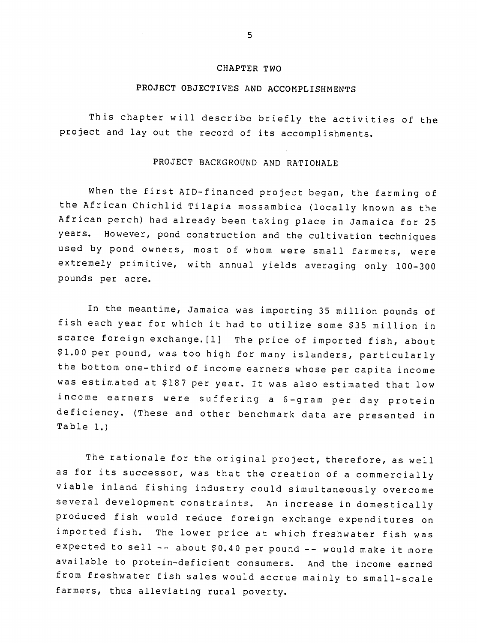#### CHAPTER TWO

## **PROJECT** OBJECTIVES **AND** ACCOMPLISHMENTS

This chapter will describe briefly the activities of the project and lay out the record of its accomplishments.

# PROJECT BACKGROUND AND RATIONALE

When the first AID-financed project began, the farming of the African Chichlid Tilapia mossambica (locally known as the African perch) had already been taking place in Jamaica for 25 years. However, pond construction and the cultivation techniques used by pond owners, most of whom were small farmers, were extremely primitive, with annual yields averaging only 100-300 pounds per acre.

In the meantime, Jamaica was importing 35 million pounds of fish each year for which it had to utilize some **\$35** million in scarce foreign exchange.[l] The price of imported fish, about **\$1.00** per pound, was too high for many islanders, particularly the bottom one-third of income earners whose per capita income was estimated at **\$187** per year. It was also estimated that low income earners were suffering a 6-gram per day protein deficiency. (These and other benchmark data are presented in Table **1.)** 

The rationale for the original project, therefore, as well as for its successor, was that the creation of a commercially viable inland fishing industry could simultaneously overcome several development constraints. An increase in domestically produced fish would reduce foreign exchange expenditures on imported fish. The lower price at which freshwater fish was expected to sell  $--$  about  $$0.40$  per pound  $--$  would make it more available to protein-deficient consumers. And the income earned from freshwater fish sales would accrue mainly to small-scale farmers, thus alleviating rural poverty.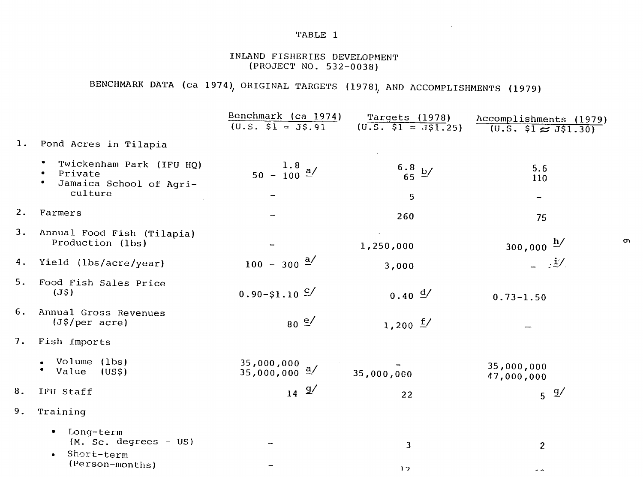# TABLE **1**

# INLAND FISHERIES **DEVELOPMENT (PROJECT NO. 532-0038)**

# BENCHMARK **DATA** (ca 1974), ORIGINAL TARGETS **(1978) AND** ACCOMPLISHMENTS **(1979)**

|                |                                                                                          | Benchmark (ca 1974)<br>$(U.S. $1 = J$.91$ | Targets (1978)<br>$(0.5. \ \ $1 = \overline{J} \ \ $1.25)$ | Accomplishments (1979)<br>$\overline{(0.5, 51 \approx J51.30)}$ |
|----------------|------------------------------------------------------------------------------------------|-------------------------------------------|------------------------------------------------------------|-----------------------------------------------------------------|
| $\mathbf{1}$ . | Pond Acres in Tilapia                                                                    |                                           |                                                            |                                                                 |
|                | Twickenham Park (IFU HQ)<br>Private<br>$\bullet$<br>Jamaica School of Agri-<br>$\bullet$ | $\frac{1.8}{50 - 100}$ $\frac{a}{ }$      | $\frac{6.8}{65}$ b/                                        | 5.6<br>110                                                      |
|                | culture                                                                                  |                                           | 5                                                          | $\overline{\phantom{m}}$                                        |
| 2.             | Farmers                                                                                  |                                           | 260                                                        | 75                                                              |
| 3.             | Annual Food Fish (Tilapia)<br>Production (lbs)                                           |                                           | 1,250,000                                                  | $300,000 \frac{h}{ }$                                           |
| 4.             | Yield (lbs/acre/year)                                                                    | $100 - 300 \frac{a}{ }$                   | 3,000                                                      | $\pm$ /                                                         |
| 5.             | Food Fish Sales Price<br>(J <sub>5</sub> )                                               | $0.90 - $1.10$ $C/$                       | $0.40 \frac{d}{ }$                                         | $0.73 - 1.50$                                                   |
| 6.             | Annual Gross Revenues<br>$(J\$ {5/per acre})                                             | $80 \frac{e}{ }$                          | 1,200 $\frac{f}{f}$                                        |                                                                 |
| 7.             | Fish <i>imports</i>                                                                      |                                           |                                                            |                                                                 |
|                | Volume (lbs)<br>$\bullet$<br>Value<br>(USS)                                              | 35,000,000<br>$35,000,000 \frac{a}{ }$    | 35,000,000                                                 | 35,000,000<br>47,000,000                                        |
| 8.             | IFU Staff                                                                                | $14 \frac{g}{ }$                          | 22                                                         | $5 \frac{g}{ }$                                                 |
| 9.             | Training                                                                                 |                                           |                                                            |                                                                 |
|                | Long-term<br>$\bullet$<br>(M. Sc. degrees - US)                                          |                                           | 3                                                          | $\overline{2}$                                                  |
|                | Short-term<br>(Person-months)                                                            |                                           | $\overline{12}$                                            |                                                                 |

 $\sigma$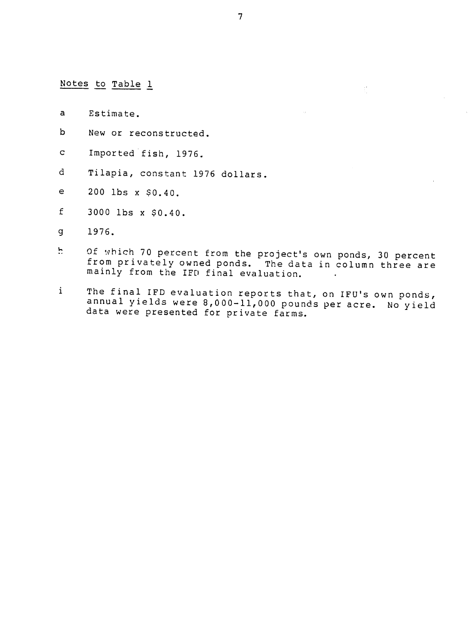Notes to Table 1

- a Estimate.
- b New or reconstructed.
- c Imported fish, 1976.
- d Tilapia, constant 1976 dollars.
- e 200 lbs x \$0.40.
- $f = 3000$  lbs x  $$0.40$ .
- g 1976.
- **!7** Of which 70 percent from the project's own ponds, 30 percent from privately owned ponds. from privately owned ponds. The data in column three are<br>mainly from the IFD final evaluation.
- i The final IFD evaluation reports that, on IFU's own ponds, rne final IFD evaluation reports that, on IFU's own ponds,<br>annual yields were 8,000-11,000 pounds per acre. No vield data were presented for private farms.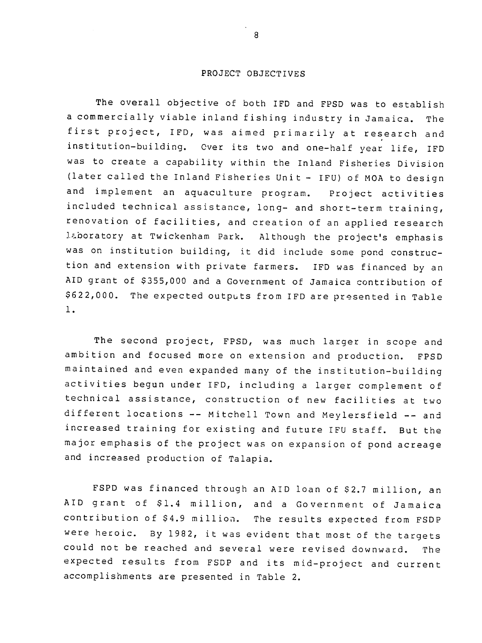#### PROJECT OBJECTIVES

The overall objective of both IFD and FPSD was to establish a commercially viable inland fishing industry in Jamaica. The first project, IFD, was aimed primarily at research and institution-building. Over its two and one-half year life, IFD was to create a capability within the Inland Fisheries Division (later called the Inland Fisheries Unit - IFU) of MOA to design and implement an aquaculture program. Project activities included technical assistance, long- and short-term training, renovation of facilities, and creation of an applied research laboratory at Twickenham Park. Although the project's emphasis was on institution building, it did include some pond construction and extension with private farmers. IFD was financed by an AID grant of \$355,000 and a Government of Jamaica contribution of \$622,000. The expected outputs from IFD are presented in Table **1.** 

The second project, FPSD, was much larger in scope and ambition and focused more on extension and production. FPSD maintained and even expanded many of the institution-building activities begun under IFD, including a larger complement of technical assistance, construction of new facilities at two different locations -- Mitchell Town and Meylersfield -- and increased training for existing and future IFU staff. But the major emphasis of the project was on expansion of pond acreage and increased production of Talapia.

FSPD was financed through an AID loan of \$2.7 million, an AID grant of \$1.4 million, and a Government of Jamaica contribution of \$4.9 million. The results expected from FSDP were heroic. By 1982, it was evident that most of the targets could not be reached and several were revised downward. The expected results from FSDP and its mid-project and current accomplishments are presented in Table 2.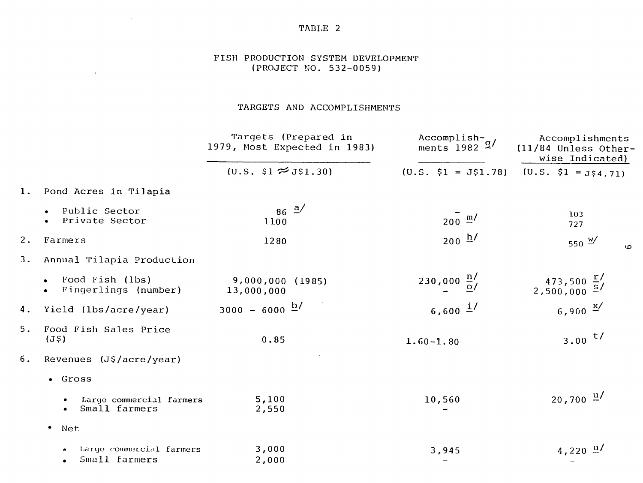TABLE 2

 $\sim 10^7$ 

 $\mathcal{L}^{\mathcal{L}}(\mathbf{A})$  and  $\mathcal{L}^{\mathcal{L}}(\mathbf{A})$ 

# FISH PRODUCTION SYSTEM DEVELOPMENT (PROJECT NO. 532-0059)

# TARGETS AND ACCOMPLISHMENTS

|    |                                                      | Targets (Prepared in<br>1979, Most Expected in 1983) | $\text{Accountish-}\square$<br>ments $1982 \frac{q}{q}$ | Accomplishments<br>(11/84 Unless Other-<br>wise Indicated)                   |
|----|------------------------------------------------------|------------------------------------------------------|---------------------------------------------------------|------------------------------------------------------------------------------|
|    |                                                      | $(U.S. \$1 \approx J$1.30)$                          | $(U.S. $1 = J$1.78)$                                    | $(U.S. $1 = J$4.71)$                                                         |
| 1. | Pond Acres in Tilapia                                |                                                      |                                                         |                                                                              |
|    | Public Sector<br>Private Sector<br>$\bullet$         | $86 \frac{a}{ }$<br>1100                             | $200 \frac{m}{ }$                                       | 103<br>727                                                                   |
| 2. | Farmers                                              | 1280                                                 | $200 \frac{h}{ }$                                       | 550 $\frac{w}{2}$<br><b>O</b>                                                |
| 3. | Annual Tilapia Production                            |                                                      |                                                         |                                                                              |
|    | Food Fish (lbs)<br>$\bullet$<br>Fingerlings (number) | 9,000,000 (1985)<br>13,000,000                       | 230,000 $\frac{n}{\Omega}$                              | $473,500 \frac{\text{r}}{\text{s}}$<br>2,500,000 $\frac{\text{s}}{\text{s}}$ |
| 4. | Yield (lbs/acre/year)                                | $3000 - 6000 \frac{b}{ }$                            | 6,600 $1/$                                              | 6,900 $\frac{x}{x}$                                                          |
| 5. | Food Fish Sales Price<br>(J <sub>5</sub> )           | 0.85                                                 | $1.60 - 1.80$                                           | $3.00 \frac{t}{t}$                                                           |
| 6. | Revenues (J\$/acre/year)                             |                                                      |                                                         |                                                                              |
|    | · Gross                                              |                                                      |                                                         |                                                                              |
|    | Large commercial farmers<br>Small farmers            | 5,100<br>2,550                                       | 10,560                                                  | $20,700 \frac{u}{ }$                                                         |
|    | $\bullet$<br>Net                                     |                                                      |                                                         |                                                                              |
|    | Large commercial farmers<br>Small farmers            | 3,000<br>2,000                                       | 3,945                                                   | $4,220 \frac{\mu}{ }$                                                        |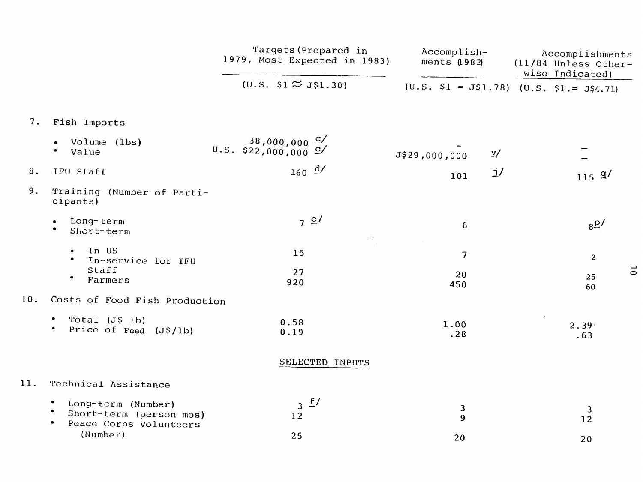|     |                                                                         | Targets (Prepared in<br>1979, Most Expected in 1983)                                  | Accomplish-<br>ments (1982)               | Accomplishments<br>$(11/84$ Unless Other-<br>wise Indicated) |
|-----|-------------------------------------------------------------------------|---------------------------------------------------------------------------------------|-------------------------------------------|--------------------------------------------------------------|
|     |                                                                         | $(0.5. \, \text{S1} \approx \text{J} \, \text{S1} \, .30)$                            | $(U.S. 51 = J51.78)$ $(U.S. 51 = J54.71)$ |                                                              |
| 7.  | Fish Imports                                                            |                                                                                       |                                           |                                                              |
|     | Volume (lbs)<br>Value<br>$\bullet$                                      | $0.5. \begin{array}{l} 38,000,000 \frac{C}{C} \\ 422,000,000 \frac{C}{C} \end{array}$ | $\underline{v}$ /<br>J\$29,000,000        |                                                              |
| 8.  | IFU Staff                                                               | $160 \frac{d}{ }$                                                                     | j/<br>101                                 | 115 $9/$                                                     |
| 9.  | Training (Number of Parti-<br>cipants)                                  |                                                                                       |                                           |                                                              |
|     | Long-term<br>$\bullet$<br>Short-term                                    | 7 e                                                                                   | 6                                         | $8\overline{B}$                                              |
|     | In US<br>In-service for IFU<br>Staff                                    | 15                                                                                    | $\overline{\mathbf{z}}$                   | $\overline{2}$                                               |
|     | ۰<br>Farmers                                                            | 27<br>920                                                                             | 20<br>450                                 | $\overline{5}$<br>25<br>60                                   |
| 10. | Costs of Food Fish Production                                           |                                                                                       |                                           |                                                              |
|     | Total $(J$ 1b)$<br>Price of Feed (J\$/1b)                               | 0.58<br>0.19                                                                          | 1.00<br>.28                               | 2.39 <sup>°</sup><br>.63                                     |
|     |                                                                         | SELECTED INPUTS                                                                       |                                           |                                                              |
| 11. | Technical Assistance                                                    |                                                                                       |                                           |                                                              |
|     | Long-term (Number)<br>Short-term (person mos)<br>Peace Corps Volunteers | $3 \pm 7$<br>12                                                                       | $\mathbf{3}$<br>9                         | 3<br>12                                                      |
|     | (Number)                                                                | 25                                                                                    | 20                                        | 20                                                           |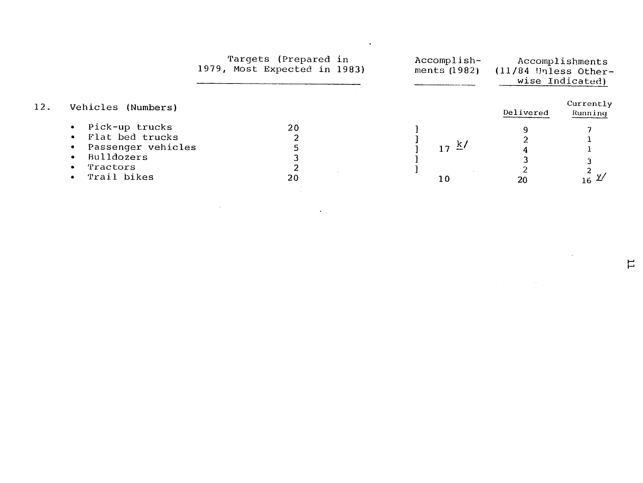|     |                                                                                                  | Targets (Prepared in<br>1979, Most Expected in 1983) | Accomplish-<br>ments (1982)   | $(11/84$ Unless Other- | Accomplishments<br>wise Indicated) |
|-----|--------------------------------------------------------------------------------------------------|------------------------------------------------------|-------------------------------|------------------------|------------------------------------|
| 12. | Vehicles (Numbers)                                                                               |                                                      |                               | Delivered              | Currently<br>Running               |
|     | Pick-up trucks<br>Flat bed trucks<br>Passenger vehicles<br>Bulldozers<br>Tractors<br>Trail bikes | 20<br>20                                             | $17 \frac{\text{k}}{ }$<br>10 | 20                     | $16 \frac{Y}{2}$                   |
|     |                                                                                                  |                                                      |                               |                        |                                    |

 $\mathcal{L}(\mathcal{L}^{\mathcal{L}})$  and  $\mathcal{L}^{\mathcal{L}}$  are the set of the set of  $\mathcal{L}^{\mathcal{L}}$ 

 $\label{eq:2.1} \frac{1}{\sqrt{2}}\left(\frac{1}{\sqrt{2}}\right)^{2} \left(\frac{1}{\sqrt{2}}\right)^{2} \left(\frac{1}{\sqrt{2}}\right)^{2} \left(\frac{1}{\sqrt{2}}\right)^{2} \left(\frac{1}{\sqrt{2}}\right)^{2} \left(\frac{1}{\sqrt{2}}\right)^{2} \left(\frac{1}{\sqrt{2}}\right)^{2} \left(\frac{1}{\sqrt{2}}\right)^{2} \left(\frac{1}{\sqrt{2}}\right)^{2} \left(\frac{1}{\sqrt{2}}\right)^{2} \left(\frac{1}{\sqrt{2}}\right)^{2} \left(\$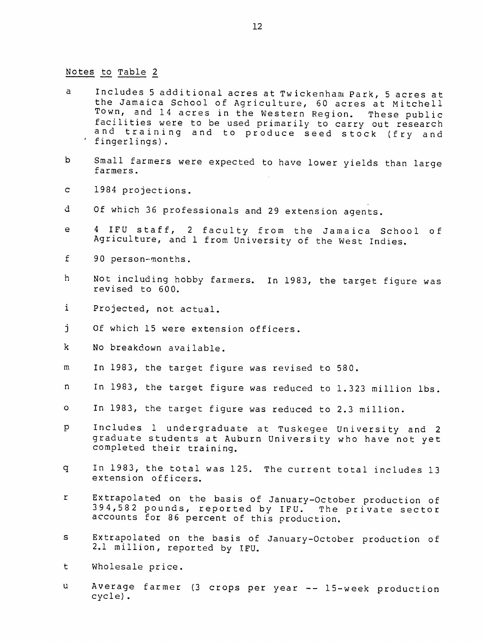#### Notes to Table 2

- <sup>a</sup> Includes 5 additional acres at Twickenham Park, 5 acres at the Jamaica School of Agriculture, 60 acres at Mitchell The camated Senoof of Agriculture, of acres at Mitchers<br>Town, and 14 acres in the Western Region. These public These public Town, and 14 acres in the Western Region. These public<br>facilities were to be used primarily to carry out research facilities were to be used primarily to carry out research<br>and training and to produce seed stock (fry and ' fingerlings). T
- b Small farmers were expected to have lower vields than large farmers.
- c 1984 projections.
- d Of which 36 professionals and 29 extension agents.
- <sup>e</sup> 4 IFU staff, 2 faculty from the Jamaica School of Agriculture, and 1 from University of the West Indies.
- f 90 person-months.
- h Not including hobby farmers. In 1983, the target figure was revised to 600.
- i Projected, not actual.
- j Of which 15 were extension officers.
- k No breakdown available.
- m In 1983, the target figure was revised to 580.
- n In 1983, the target figure was reduced to 1.323 million lbs.
- o In 1983, the target figure was reduced to 2.3 million.
- <sup>p</sup> Includes 1 undergraduate at Tuskegee University and 2 graduate students at Auburn University who have not yet completed their training. Ī
- q In 1983, the total was 125. The current total includes 13 extension officers.
- r Extrapolated on the basis of January-October production of 394,582 pounds, reported by IFU. The private sector accounts for 86 percent of this production.  $\mathbf{r}$
- **s**  Extrapolated on the basis of January-October production of 2.1 million, reported by IFU.
- t Wholesale price.
- u Average farmer (3 crops per year -- 15-week production cycle).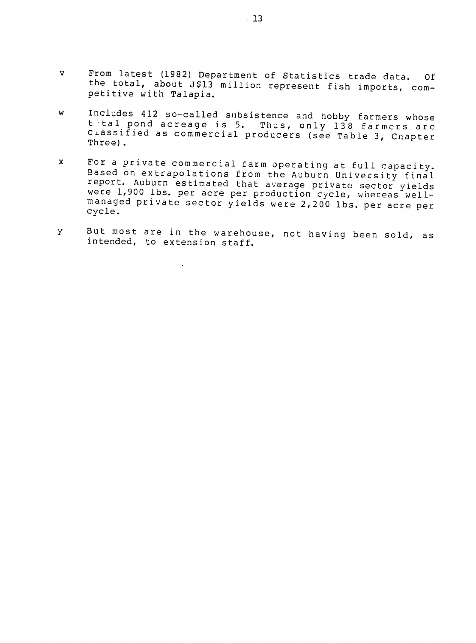- v From latest (1982) Department of Statistics trade data. Of<br>the total, about J\$13 million represent fish imports, competitive with Talapia. the total, about J\$13 million represent fish imports, com-
- w Includes 412 so-called subsistence and hobby farmers whose t tal pond acreage is 5. Thus, only 138 farmers are ciassified as commercial producers (see Table **3,** Cnapter Three) **.**
- **x** For a private commercial farm operating at full capacity. Based on extrapolations from the Auburn University final report. Auburn estimated that average private sector yields were 1,900 lbs. per acre per production cycle, whereas well-<br>managed private sector yields were 2,200 lbs. per acre per<br>cycle. cycle.<br>cycle.
- <sup>y</sup> But most are in the warehouse, not having been sold, as intended, to extension staff.

 $\ddot{\phantom{a}}$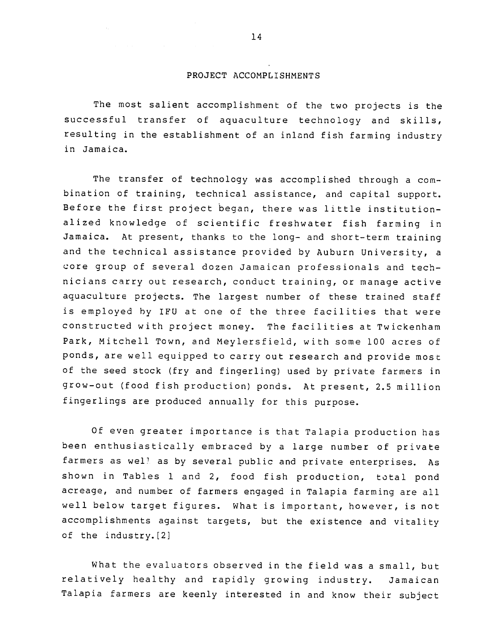#### PROJECT ACCOMPLISHMENTS

The most salient accomplishment of the two projects is the successful transfer of aquaculture technology and skills, resulting in the establishment of an inland fish farming industry in Jamaica.

The transfer of technology was accomplished through a combination of training, technical assistance, and capital support. Before the first project began, there was little institutionalized knowledge of scientific freshwater fish farming in Jamaica. At present, thanks to the long- and short-term training and the technical assistance provided by Auburn University, a core group of several dozen Jamaican professionals and technicians carry out research, conduct training, or manage active aquaculture projects. The largest number of these trained staff is employed by IFU at one of the three facilities that were constructed with project money. The facilities at Twickenham Park, Mitchell Town, and Meylersfield, with some **100** acres of ponds, are well equipped to carry out research and provide most of the seed stock (fry and fingerling) used by private farmers in grow-out (food fish production) ponds. At present, 2.5 million fingerlings are produced annually for this purpose.

Of even greater importance is that Talapia production has been enthusiastically embraced by a large number of private farmers as well as by several public and private enterprises. As shown in Tables 1 and 2, food fish production, total pond acreage, and number of farmers engaged in Talapia farming are all well below target figures. What is important, however, is not accomplishments against targets, but the existence and vitality of the industry.[2]

What the evaluators observed in the field was a small, but relatively healthy and rapidly growing industry. Jamaican Talapia farmers are keenly interested in and know their subject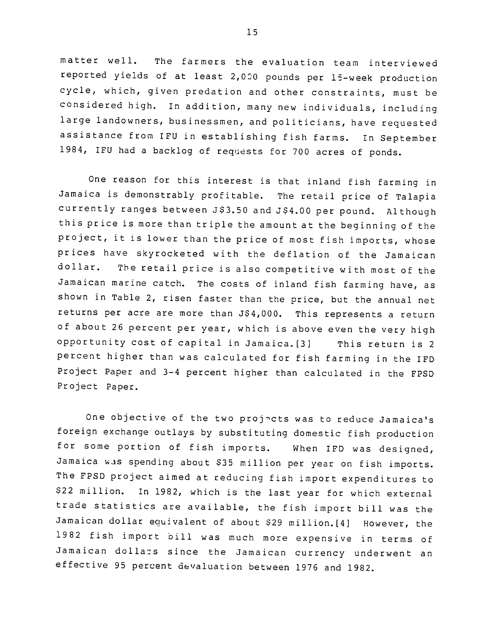matter well. The farmers the evaluation team interviewed reported yields of at least 2,000 pounds per 15-week production cycle, which, given predation and other constraints, must be considered high. In addition, many new individuals, including large landowners, businessmen, and politicians, have requested assistance from IFU in establishing fish farms. In September 1984, IFU had a backlog of requests for 700 acres of ponds.

One reason for this interest is that inland fish farming in Jamaica is demonstrably profitable. The retail price of Talapia currently ranges between J\$3.50 and J\$4.00 per pound. Although this price is more than triple the amount at the beginning of the project, it is lower than the price of most fish imports, whose prices have skyrocketed with the deflation of the Jamaican dollar. The retail price is also competitive with most of the Jamaican marine catch. The costs of inland fish farming have, as shown in Table 2, risen faster than the price, but the annual net returns per acre are more than J\$4,000. This represents a return of about 26 percent per year, which is above even the very high opportunity cost of capital in Jamaica.[3] This return is 2 percent higher than was calculated for fish farming in the IFD Project Paper and 3-4 percent higher than calculated in the FPSD Project Paper.

One objective of the two projects was to reduce Jamaica's foreign exchange outlays by substituting domestic fish production for some portion of fish imports. When IFD was designed, Jamaica was spending about \$35 million per year on fish imports. The FPSD project aimed at reducing fish import expenditures to \$22 million. In 1982, which is the last year for which external trade statistics are available, the fish import bill was the Jamaican dollar equivalent of about \$29 million.[4] However, the 1982 fish import bill was much more expensive in terms of Jamaican dolla,:s since the Jamaican currency underwent an effective 95 percent devaluation between 1976 and 1982.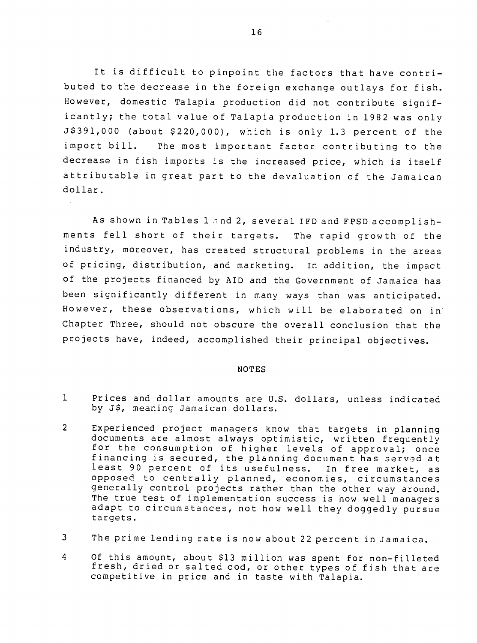It is difficult to pinpoint the factors that have contributed to the decrease in the foreign exchange outlays for fish. However, domestic Talapia production did not contribute significantly; the total value of Talapia production in 1982 was only J\$391,000 (about \$220,000), which is only 1.3 percent of the import bill. The most important factor contributing to the decrease in fish imports is the increased price, which is itself attributable in great part to the devaluation of the Jamaican dollar.

As shown in Tables 1 and 2, several IFD and FPSD accomplishments fell short of their targets. The rapid growth of the industry, moreover, has created structural problems in the areas of pricing, distribution, and marketing. In addition, the impact of the projects financed by AID and the Government of Jamaica has been significantly different in many ways than was anticipated. However, these observations, which will be elaborated on in' Chapter Three, should not obscure the overall conclusion that the projects have, indeed, accomplished their principal objectives.

#### **NOTES**

- 1 Prices and dollar amounts are U.S. dollars, unless indicated by J\$, meaning Jamaican dollars.
- 2 Experienced project managers know that targets in planning documents are almost always optimistic, written frequently for the consumption of higher levels of approval; once financing is secured, the planning document has served at least 90 percent of its usefulness. In free market, as opposed to centrally planned, economies, circumstances generally control projects rather than the other way around. The true test of implementation success is how well managers adapt to circumstances, not how well they doggedly pursue targets.
- <sup>3</sup> The prime lending rate is now about 22 percent in Jamaica.
- 4 Of this amount, about \$13 million was spent for non-filleted fresh, dried or salted cod, or other types of fish that are competitive in price and in taste with Talapia.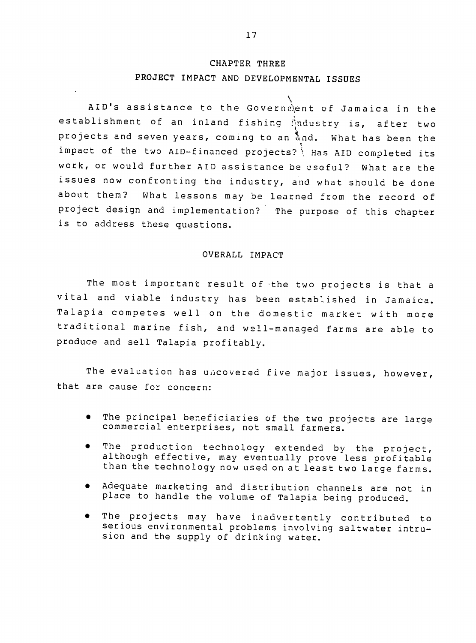# CHAPTER THREE **PROJECT** IMPACT **AND DEVELOPMENTAL ISSUES**

AID's assistance to the Government of Jamaica in the establishment of an inland fishing  $\frac{1}{2}$ ndustry is, after two projects and seven years, coming to an and. What has been the impact of the two AID-financed projects? Has AID completed its work, or would further AID assistance be useful? What are the issues now confronting the industry, and what should be done about them? What lessons may be learned from the record of project design and implementation? The purpose of this chapter is to address these questions.

## OVERALL IMPACT

The most important result of the two projects is that a vital and viable industry has been established in Jamaica. Talapia competes well on the domestic market with more traditional marine fish, and well-managed farms are able to produce and sell Talapia profitably.

The evaluation has uncovered five major issues, however, that are cause for concern:

- The principal beneficiaries of the two projects are large commercial enterprises, not small farmers.
- The production technology extended by the project, although effective, may eventually prove less profitable than the technology now used on at least two large farms.
- **"** Adequate marketing and distribution channels are not in place to handle the volume of Talapia being produced.
- The projects may have inadvertently contributed to serious environmental problems involving saltwater intrusion and the supply of drinking water. Ī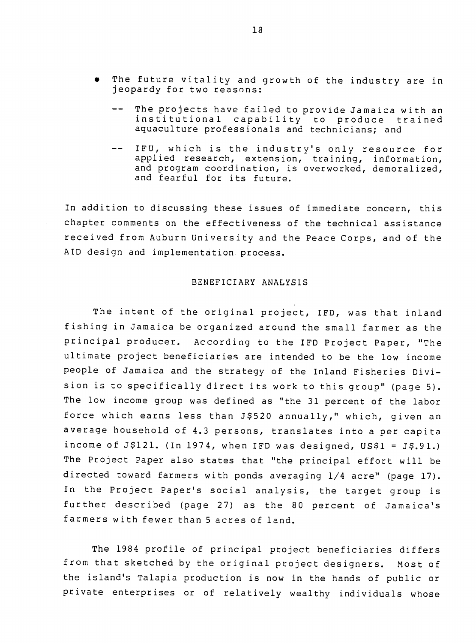- The future vitality and growth of the industry are in jeopardy for two reasons:
	- -- The projects have failed to provide Jamaica with an institutional capability to produce trained aquaculture professionals and technicians; and
	- IFU, which is the industry's only resource for applied research, extension, training, information, and program coordination, is overworked, demoralized, and fearful for its future.

In addition to discussing these issues of immediate concern, this chapter comments on the effectiveness of the technical assistance received from Auburn University and the Peace Corps, and of the AID design and implementation process.

#### BENEFICIARY ANALYSIS

The intent of the original project, IFD, was that inland fishing in Jamaica be organized around the small farmer as the principal producer. According to the IFD Project Paper, "The ultimate project beneficiaries are intended to be the low income people of Jamaica and the strategy of the Inland Fisheries Division is to specifically direct its work to this group" (page 5). The low income group was defined as "the 31 percent of the labor force which earns less than J\$520 annually," which, given an average household of 4.3 persons, translates into a per capita income of J\$121. (In 1974, when IFD was designed, US\$1 = **J\$.91.)**  The Project Paper also states that "the principal effort will be directed toward farmers with ponds averaging 1/4 acre" (page 17). In the Project Paper's social analysis, the target group is further described (page 27) as the 80 percent of Jamaica's farmers with fewer than 5 acres of land.

The 1984 profile of principal project beneficiaries differs from that sketched by the original project designers. Most of the island's Talapia production is now in the hands of public or private enterprises or of relatively wealthy individuals whose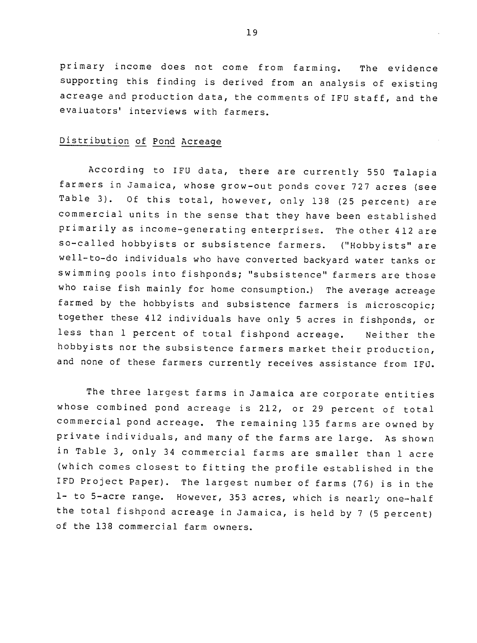primary income does not come from farming. The evidence supporting this finding is derived from an analysis of existing acreage and production data, the comments of IFU staff, and the evaluators' interviews with farmers.

# Distribution of Pond Acreage

According to IFU data, there are currently 550 Talapia farmers in Jamaica, whose grow-out ponds cover 727 acres (see Table 3). Of this total, however, only 138 (25 percent) are commercial units in the sense that they have been established primarily as income-generating enterprises. The other 412 are so-called hobbyists or subsistence farmers. ("Hobbyists" are well-to-do individuals who have converted backyard water tanks or swimming pools into fishponds; "subsistence" farmers are those who raise fish mainly for home consumption.) The average acreage farmed by the hobbyists and subsistence farmers is microscopic; together these 412 individuals have only 5 acres in fishponds, or less than 1 percent of total fishpond acreage. Neither the hobbyists nor the subsistence farmers market their production, and none of these farmers currently receives assistance from IFU.

The three largest farms in Jamaica are corporate entities whose combined pond acreage is 212, or 29 percent of total commercial pond acreage. The remaining 135 farms are owned by private individuals, and many of the farms are large. As shown in Table 3, only 34 commercial farms are smaller than 1 acre (which comes closest to fitting the profile established in the IFD Project Paper). The largest number of farms (76) is in the **1-** to 5-acre range. However, 353 acres, which is nearly one-half the total fishpond acreage in Jamaica, is held by 7 (5 percent) of the 138 commercial farm owners.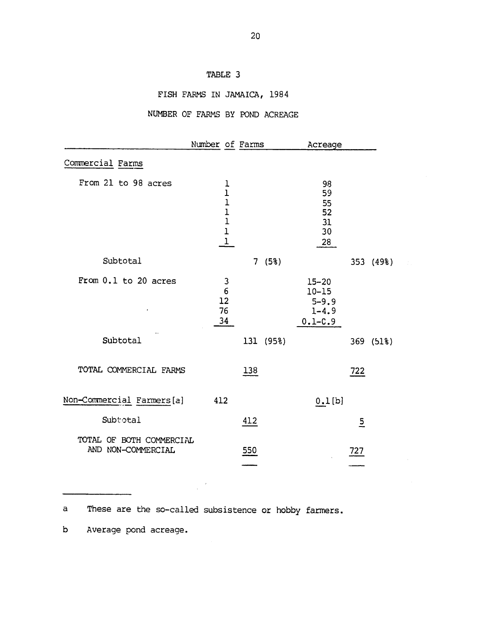# TABLE 3

# FISH FARMS IN JAMAICA, 1984

# NUMBER OF FARMS BY POND ACREAGE

|                                                | Number of Farms                                                                                       | Acreage                                                         |
|------------------------------------------------|-------------------------------------------------------------------------------------------------------|-----------------------------------------------------------------|
| Commercial Farms                               |                                                                                                       |                                                                 |
| From 21 to 98 acres                            | $\frac{1}{1}$<br>$\mathbf 1$<br>$\mathbf 1$<br>$\mathbf 1$<br>$\mathbf 1$<br>$\underline{\textbf{1}}$ | 98<br>59<br>55<br>52<br>31<br>30<br>28                          |
| Subtotal                                       | 7(58)                                                                                                 | 353 (49%)                                                       |
| From 0.1 to 20 acres                           | $\frac{3}{6}$<br>12<br>76<br>34                                                                       | $15 - 20$<br>$10 - 15$<br>$5 - 9.9$<br>$1 - 4.9$<br>$0.1 - C.9$ |
| Subtotal                                       | 131 (95%)                                                                                             | 369 (51%)                                                       |
| TOTAL COMMERCIAL FARMS                         | 138                                                                                                   | 722                                                             |
| Non-Commercial Farmers[a]                      | 412                                                                                                   | $0.1$ [b]                                                       |
| Subtotal                                       | 412                                                                                                   | $\overline{2}$                                                  |
| TOTAL OF BOTH COMMERCIAL<br>AND NON-COMMERCIAL | 550                                                                                                   | 727                                                             |

a These are the so-called subsistence or hobby farmers.

 $\frac{1}{2} \frac{1}{2} \frac{d^2}{dx^2}$ 

b Average pond acreage.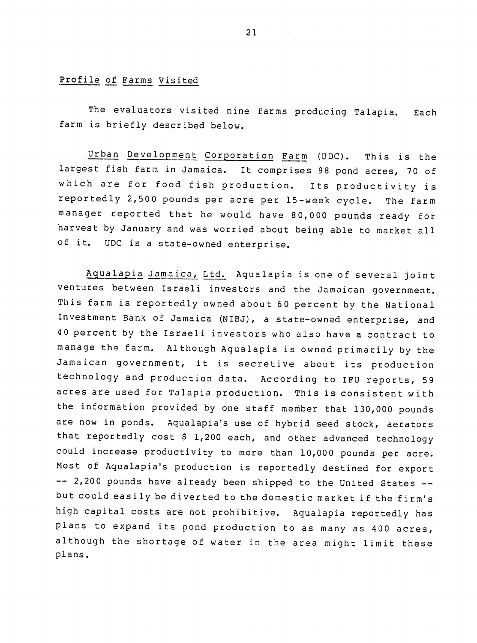## Profile of Farms Visited

The evaluators visited nine farms producing Talapia. Each farm is briefly described below.

Urban Development Corporation Farm (UDC). This is the largest fish farm in Jamaica. It comprises 98 pond acres, 70 of which are for food fish production. Its productivity is reportedly 2,500 pounds per acre per 15-week cycle. The farm manager reported that he would have 80,000 pounds ready for harvest by January and was worried about being able to market all of it. UDC is a state-owned enterprise.

-- 2,200 pounds have already been shipped to the United States --Aqualapia Jamaica, Ltd. Aqualapia is one of several joint ventures between Israeli investors and the Jamaican government. This farm is reportedly owned about 60 percent by the National Investment Bank of Jamaica (NIBJ), a state-owned enterprise, and 40 percent by the Israeli investors who also have a contract to manage the farm. Although Aqualapia is owned primarily by the Jamaican government, it is secretive about its production technology and production data. According to IFU reports, 59 acres are used for Talapia production. This is consistent with the information provided by one staff member that 130,000 pounds are now in ponds. Aqualapia's use of hybrid seed stock, aerators that reportedly cost **\$** 1,200 each, and other advanced technology could increase productivity to more than 10,000 pounds per acre. Most of Aqualapia's production is reportedly destined for export but could easily be diverted to the domestic market if the firm's high capital costs are not prohibitive. Aqualapia reportedly has plans to expand its pond production to as many as 400 acres, although the shortage of water in the area might limit these plans.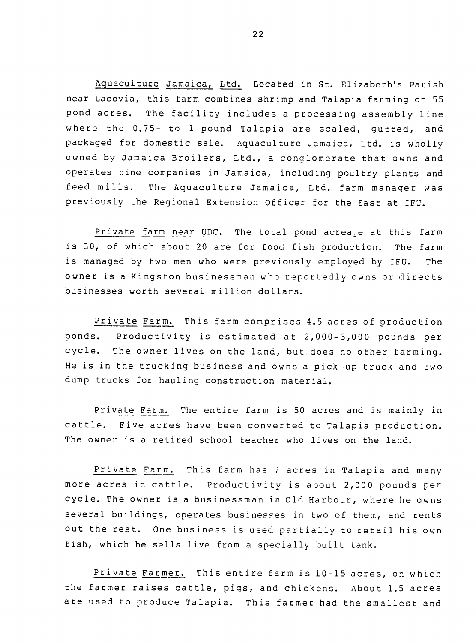Aquaculture Jamaica, Ltd. Located in St. Elizabeth's Parish near Lacovia, this farm combines shrimp and Talapia farming on 55 pond acres. The facility includes a processing assembly line where the 0.75- to 1-pound Talapia are scaled, gutted, and packaged for domestic sale. Aquaculture Jamaica, Ltd. is wholly owned by Jamaica Broilers, Ltd., a conglomerate that owns and operates nine companies in Jamaica, including poultry plants and feed mills. The Aquaculture Jamaica, Ltd. farm manager was previously the Regional Extension Officer for the East at IFU.

Private farm near UDC. The total pond acreage at this farm is 30, of which about 20 are for food fish production. The farm is managed by two men who were previously employed by IFU. The owner is a Kingston businessman who reportedly owns or directs businesses worth several million dollars.

Private Farm. This farm comprises 4.5 acres of production ponds. Productivity is estimated at 2,000-3,000 pounds per cycle. The owner lives on the land, but does no other farming. He is in the trucking business and owns a pick-up truck and two dump trucks for hauling construction material.

Private Farm. The entire farm is 50 acres and is mainly in cattle. Five acres have been converted to Talapia production. The owner is a retired school teacher who lives on the land.

Private Farm. This farm has i acres in Talapia and many more acres in cattle. Productivity is about 2,000 pounds per cycle. The owner is a businessman in Old Harbour, where he owns several buildings, operates businesses in two of them, and rents out the rest. One business is used partially to retail his own fish, which he sells live from a specially built tank.

Private Farmer. This entire farm is 10-15 acres, on which the farmer raises cattle, pigs, and chickens. About 1.5 acres are used to produce Talapia. This farmer had the smallest and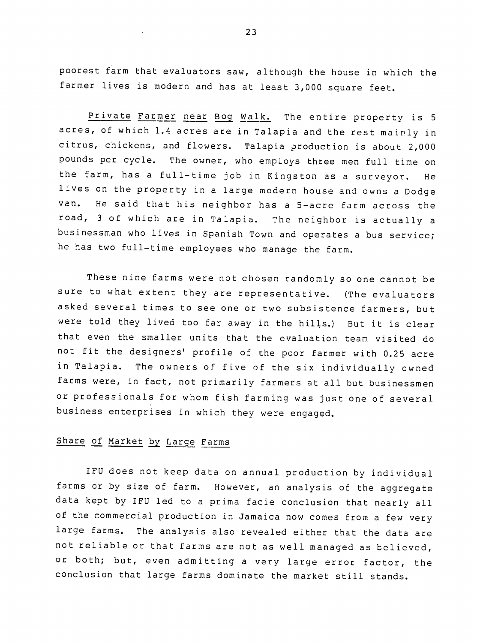poorest farm that evaluators saw, although the house in which the farmer lives is modern and has at least 3,000 square feet.

Private Farmer near Bog Walk. The entire property is 5 acres, of which 1.4 acres are in Talapia and the rest mainly in citrus, chickens, and flowers. Talapia production is about 2,000 pounds per cycle. The owner, who employs three men full time on the farm, has a full-time job in Kingston as a surveyor. He lives on the property in a large modern house and owns a Dodge van. He said that his neighbor has a 5-acre farm across the road, 3 of which are in Talapia. The neighbor is actually a businessman who lives in Spanish Town and operates a bus service; he has two full-time employees who manage the farm.

These nine farms were not chosen randomly so one cannot be sure to what extent they are representative. (The evaluators asked several times to see one or two subsistence farmers, but were told they lived too far away in the hills.) But it is clear that even the smaller units that the evaluation team visited do not fit the designers' profile of the poor farmer with 0.25 acre in Talapia. The owners of five of the six individually owned farms were, in fact, not primarily farmers at all but businessmen or professionals for whom fish farming was just one of several business enterprises in which they were engaged.

# Share of Market **by** Large Farms

IFU does not keep data on annual production by individual farms or by size of farm. However, an analysis of the aggregate data kept by IFU led to a prima facie conclusion that nearly all of the commercial production in Jamaica now comes from a few very large farms. The analysis also revealed either that the data are not reliable or that farms are not as well managed as believed, or both; but, even admitting a very large error factor, the conclusion that large farms dominate the market still stands.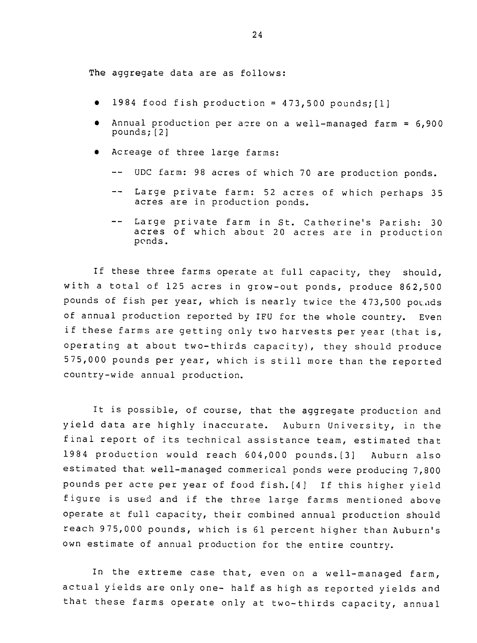The aggregate data are as follows:

- 1984 food fish production =  $473,500$  pounds; [1]
- \* Annual production per acre on a well-managed farm **=** 6,900 pounds; [2]
- Acreage of three large farms:
	- -- UDC farm: 98 acres of which 70 are production ponds.
	- -- Large private farm: 52 acres of which perhaps 35 acres are in production ponds.
	- -- Large private farm in St. Catherine's Parish: 30 acres of which about 20 acres are in production ponds.

If these three farms operate at full capacity, they should, with a total of 125 acres in grow-out ponds, produce 862,500 pounds of fish per year, which is nearly twice the 473,500 pounds of annual production reported by IFU for the whole country. Even if these farms are getting only two harvests per year (that is, operating at about two-thirds capacity), they should produce 575,000 pounds per year, which is still more than the reported country-wide annual production.

It is possible, of course, that the aggregate production and yield data are highly inaccurate. Auburn University, in the final report of its technical assistance team, estimated that 1984 production would reach 604,000 pounds.[3] Auburn also estimated that well-managed commerical ponds were producing 7,800 pounds per acre per year of food fish.[41 If this higher yield figure is used and if the three large farms mentioned above operate at full capacity, their combined annual production should reach 975,000 pounds, which is 61 percent higher than Auburn's own estimate of annual production for the entire country.

In the extreme case that, even on a well-managed farm, actual yields are only one- half as high as reported yields and that these farms operate only at two-thirds capacity, annual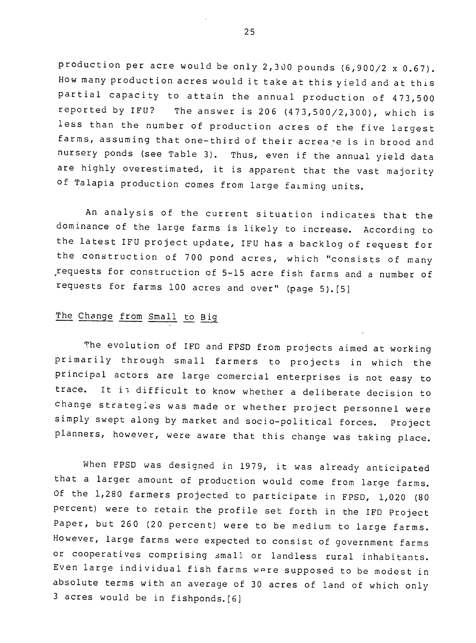production per acre would be only 2,300 pounds (6,900/2 x 0.67). How many production acres would it take at this yield and at this partial capacity to attain the annual production of 473,500 reported by IFU? The answer is 206 (473,500/2,300), which is less than the number of production acres of the five largest farms, assuming that one-third of their acreare is in brood and nursery ponds (see Table 3). Thus, even if the annual vield data are highly overestimated, it is apparent that the vast majority of Talapia production comes from large faiming units.

An analysis of the current situation indicates that the dominance of the large farms is likely to increase. According to the latest IFU project update, IFU has a backlog of request for the construction of 700 pond acres, which "consists of many requests for construction of 5-15 acre fish farms and a number of requests for farms **100** acres and over" (page 5).[5]

# The Change from Small to Big

The evolution of IFD and FPSD from projects aimed at working primarily through small farmers to projects in which the principal actors are large comercial enterprises is not easy to trace. It is difficult to know whether a deliberate decision to change strategies was made or whether project personnel were simply swept along by market and socio-political forces. Project planners, however, were aware that this change was taking place.

When FPSD was designed in 1979, it was already anticipated that a larger amount of production would come from large farms. Of the 1,280 farmers projected to participate in FPSD, 1,020 (80 percent) were to retain the profile set forth in the IFD Project Paper, but 260 (20 percent) were to be medium to large farms. However, large farms were expected to consist of government farms or cooperatives comprising small or landless rural inhabitants. Even large individual fish farms were supposed to be modest in absolute terms with an average of 30 acres of land of which only 3 acres would be in fishponds.[6]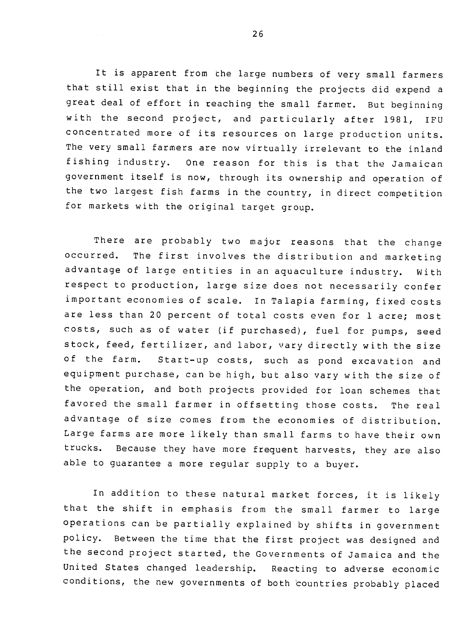It is apparent from the large numbers of very small farmers that still exist that in the beginning the projects did expend a great deal of effort in reaching the small farmer. But beginning with the second project, and particularly after 1981, IFU concentrated more of its resources on large production units. The very small farmers are now virtually irrelevant to the inland fishing industry. One reason for this is that the Jamaican government itself is now, through its ownership and operation of the two largest fish farms in the country, in direct competition for markets with the original target group.

There are probably two major reasons that the change occurred. The first involves the distribution and marketing advantage of large entities in an aquaculture industry. With respect to production, large size does not necessarily confer important economies of scale. In Talapia farming, fixed costs are less than 20 percent of total costs even for 1 acre; most costs, such as of water (if purchased), fuel for pumps, seed stock, feed, fertilizer, and labor, vary directly with the size of the farm. Start-up costs, such as pond excavation and equipment purchase, can be high, but also vary with the size of the operation, and both projects provided for loan schemes that favored the small farmer in offsetting those costs. The real advantage of size comes from the economies of distribution. Large farms are more likely than small farms to have their own trucks. Because they have more frequent harvests, they are also able to guarantee a more regular supply to a buyer.

In addition to these natural market forces, it is likely that the shift in emphasis from the small farmer to large operations can be partially explained by shifts in government policy. Between the time that the first project was designed and the second project started, the Governments of Jamaica and the United States changed leadership. Reacting to adverse economic conditions, the new governments of both 'countries probably placed

26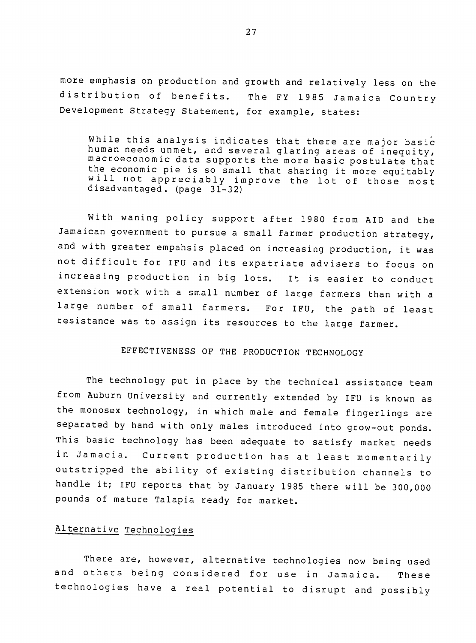more emphasis on production and growth and relatively less on the distribution of benefits. The FY 1985 Jamaica Country Development Strategy Statement, for example, states:

While this analysis indicates that there are major basic human needs unmet, and several glaring areas of inequity, macroeconomic data supports the more basic postulate that the economic pie is so small that sharing it more equitably end economic pie is so small that sharing it more equitably<br>will not appreciably improve the lot of those most disadvantaged. (page 31-32)  $\mathbf{r}$ 

With waning policy support after 1980 from AID and the Jamaican government to pursue a small farmer production strategy, and with greater empahsis placed on increasing production, it was not difficult for IFU and its expatriate advisers to focus on increasing production in big lots. It is easier to conduct extension work with a small number of large farmers than with a large number of small farmers. For IFU, the path of least resistance was to assign its resources to the large farmer.

# EFFECTIVENESS OF THE PRODUCTION TECHNOLOGY

The technology put in place by the technical assistance team from Auburn University and currently extended by IFU is known as the monosex technology, in which male and female fingerlings are separated by hand with only males introduced into grow-out ponds. This basic technology has been adequate to satisfy market needs in Jamacia. Current production has at least momentarily outstripped the ability of existing distribution channels to handle it; IFU reports that by January 1985 there will be 300,000 pounds of mature Talapia ready for market.

#### Alternative Technologies

There are, however, alternative technologies now being used and others being considered for use in Jamaica. These technologies have a real potential to disrupt and possibly

27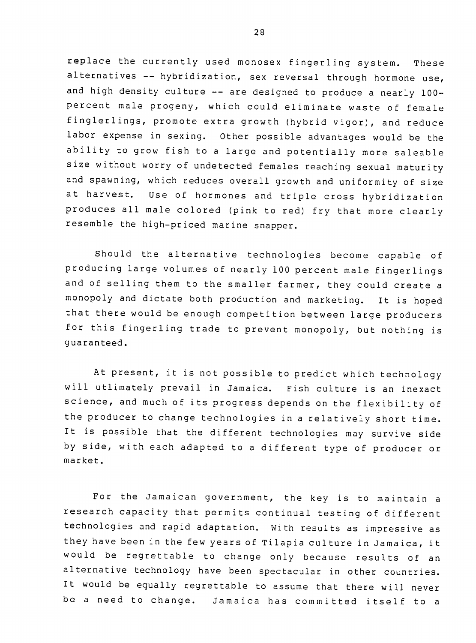replace the currently used monosex fingerling system. These alternatives -- hybridization, sex reversal through hormone use, and high density culture -- are designed to produce a nearly 100percent male progeny, which could eliminate waste of female finglerlings, promote extra growth (hybrid vigor), and reduce labor expense in sexing. Other possible advantages would be the ability to grow fish to a large and potentially more saleable size without worry of undetected females reaching sexual maturity and spawning, which reduces overall growth and uniformity of size at harvest. Use of hormones and triple cross hybridization produces all male colored (pink to red) fry that more clearly resemble the high-priced marine snapper.

Should the alternative technologies become capable of producing large volumes of nearly **100** percent male fingerlings and of selling them to the smaller farmer, they could create a monopoly and dictate both production and marketing. It is hoped that there would be enough competition between large producers for this fingerling trade to prevent monopoly, but nothing is guaranteed.

At present, it is not possible to predict which technology will utlimately prevail in Jamaica. Fish culture is an inexact science, and much of its progress depends on the flexibility of the producer to change technologies in a relatively short time. It is possible that the different technologies may survive side by side, with each adapted to a different type of producer or market.

For the Jamaican government, the key is to maintain a research capacity that permits continual testing of different technologies and rapid adaptation. With results as impressive as they have been in the few years of Tilapia culture in Jamaica, it would be regrettable to change only because results of an alternative technology have been spectacular in other countries. It would be equally regrettable to assume that there will never be a need to change. Jamaica has committed itself to a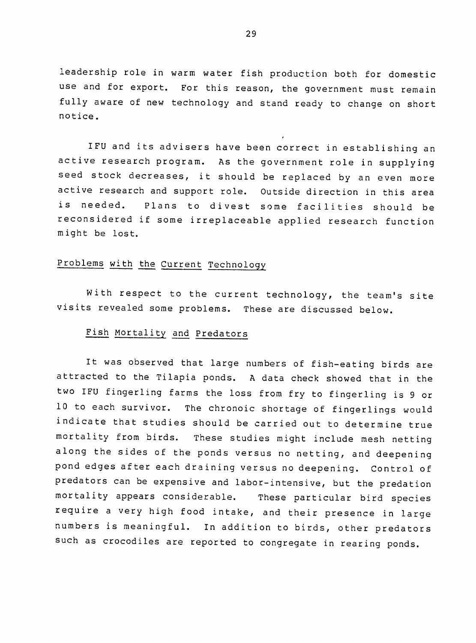leadership role in warm water fish production both for domestic use and for export. For this reason, the government must remain fully aware of new technology and stand ready to change on short notice.

IFU and its advisers have been correct in establishing an active research program. As the government role in supplying seed stock decreases, it should be replaced by an even more active research and support role. Outside direction in this area is needed. Plans to divest some facilities should be reconsidered if some irreplaceable applied research function might be lost.

# Problems with the Current Technology

With respect to the current technology, the team's site visits revealed some problems. These are discussed below.

# Fish Mortality and Predators

It was observed that large numbers of fish-eating birds are attracted to the Tilapia ponds. A data check showed that in the two IFU fingerling farms the loss from fry to fingerling is 9 or **10** to each survivor. The chronoic shortage of fingerlings would indicate that studies should be carried out to determine true mortality from birds. These studies might include mesh netting along the sides of the ponds versus no netting, and deepening pond edges after each draining versus no deepening. Control of predators can be expensive and labor-intensive, but the predation mortality appears considerable. These particular bird species require a very high food intake, and their presence in large numbers is meaningful. In addition to birds, other predators such as crocodiles are reported to congregate in rearing ponds.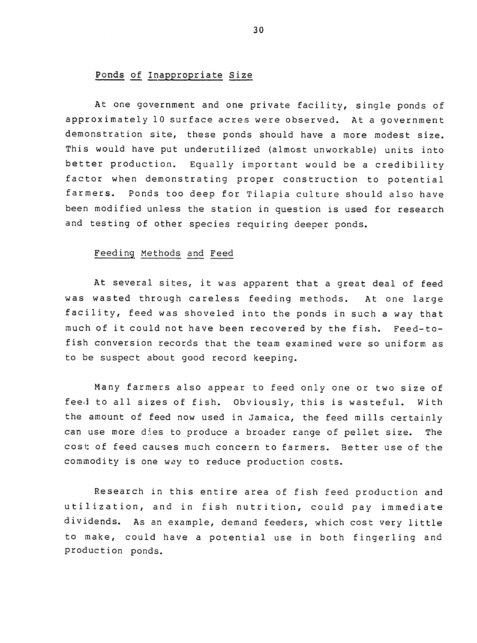# Ponds of Inappropriate Size

At one government and one private facility, single ponds of approximately **10** surface acres were observed. At a government demonstration site, these ponds should have a more modest size. This would have put underutilized (almost unworkable) units into better production. Equally important would be a credibility factor when demonstrating proper construction to potential farmers. Ponds too deep for Tilapia culture should also have been modified unless the station in question is used for research and testing of other species requiring deeper ponds.

## Feeding Methods and Feed

At several sites, it was apparent that a great deal of feed was wasted through careless feeding methods. At one large facility, feed was shoveled into the ponds in such a way that much of it could not have been recovered by the fish. Feed-tofish conversion records that the team examined were so uniform as to be suspect about good record keeping.

Many farmers also appear to feed only one or two size of feed to all sizes of fish. Obviously, this is wasteful. With the amount of feed now used in Jamaica, the feed mills certainly can use more dies to produce a broader range of pellet size. The cost: of feed causes much concern to farmers. Better use of the commodity is one way to reduce production costs.

Research in this entire area of fish feed production and utilization, and in fish nutrition, could pay immediate dividends. As an example, demand feeders, which cost very little to make, could have a potential use in both fingerling and production ponds.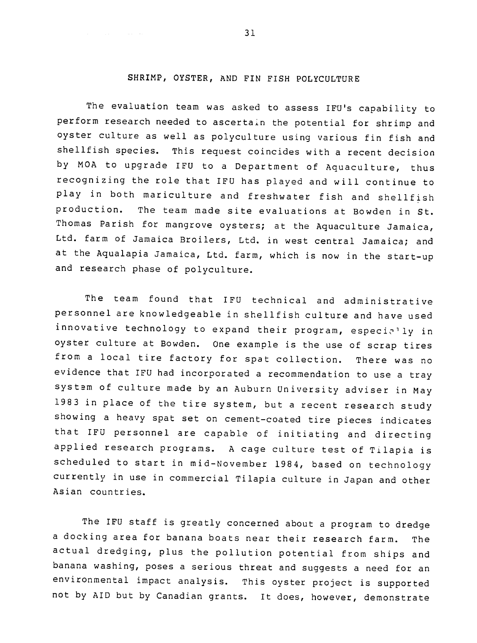# SHRIMP, OYSTER, **AND** FIN FISH **POLYCULTURE**

The evaluation team was asked to assess IFU's capability to perform research needed to ascertain the potential for shrimp and oyster culture as well as polyculture using various fin fish and shellfish species. This request coincides with a recent decision by MOA to upgrade IFU to a Department of Aquaculture, thus recognizing the role that IFU has played and will continue to play in both mariculture and freshwater fish and shellfish production. The team made site evaluations at Bowden in St. Thomas Parish for mangrove oysters; at the Aquaculture Jamaica, Ltd. farm of Jamaica Broilers, Ltd. in west central Jamaica; and at the Aqualapia Jamaica, Ltd. farm, which is now in the start-up and research phase of polyculture.

The team found that IFU technical and administrative personnel are knowledgeable in shellfish culture and have used innovative technology to expand their program, especially in oyster culture at Bowden. One example is the use of scrap tires from a local tire factory for spat collection. There was no evidence that IFU had incorporated a recommendation to use a tray systam of culture made by an Auburn University adviser in May 1983 in place of the tire system, but a recent research study showing a heavy spat set on cement-coated tire pieces indicates that IFU personnel are capable of initiating and directing applied research programs. A cage culture test of Tilapia is scheduled to start in mid-November 1984, based on technology currently in use in commercial Tilapia culture in Japan and other Asian countries.

The IFU staff is greatly concerned about a program to dredge a docking area for banana boats near their research farm. The actual dredging, plus the pollution potential from ships and banana washing, poses a serious threat and suggests a need for an environmental impact analysis. This ovster project is supported not by AID but by Canadian grants. It does, however, demonstrate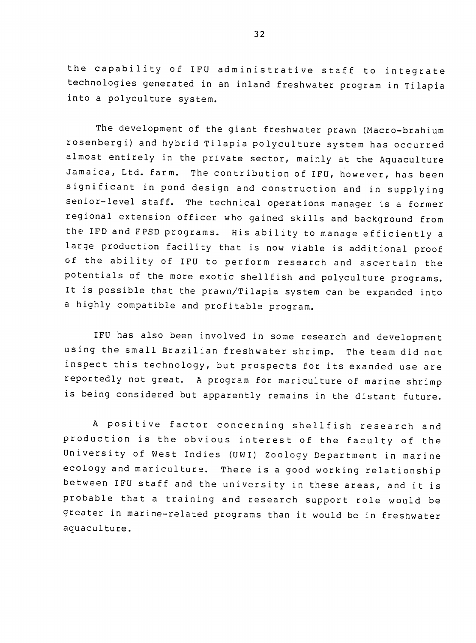the capability of IFU administrative staff to integrate technologies generated in an inland freshwater program in Tilapia into a polyculture system.

The development of the giant freshwater prawn (Macro-brahium rosenbergi) and hybrid Tilapia polyculture system has occurred almost entirely in the private sector, mainly at the Aquaculture Jamaica, Ltd. farm. The contribution of IFU, however, has been significant in pond design and construction and in supplying senior-level staff. The technical operations manager is a former regional extension officer who gained skills and background from the IFD and FPSD programs. His ability to manage efficiently a large production facility that is now viable is additional proof of the ability of IFU to perform research and ascertain the potentials of the more exotic shellfish and polyculture programs. It is possible that the prawn/Tilapia system can be expanded into a highly compatible and profitable program.

IFU has also been involved in some research and development using the small Brazilian freshwater shrimp. The team did not inspect this technology, but prospects for its exanded use are reportedly not great. A program for mariculture of marine shrimp is being considered but apparently remains in the distant future.

A positive factor concerning shellfish research and production is the obvious interest of the faculty of the University of West Indies (UWI) Zoology Department in marine ecology and mariculture. There is a good working relationship between IFU staff and the university in these areas, and it is probable that a training and research support role would be greater in marine-related programs than it would be in freshwater aquaculture.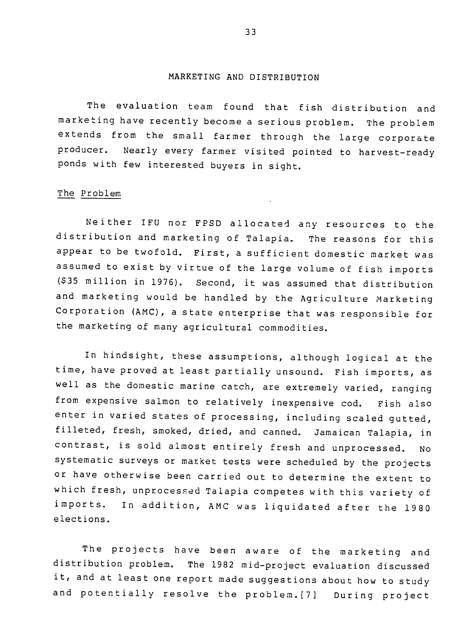## MARKETING **AND** DISTRIBUTION

The evaluation team found that fish distribution and marketing have recently become a serious problem. The problem extends from the small farmer through the large corporate producer. Nearly every farmer visited pointed to harvest-ready ponds with few interested buyers in sight.

## The Problem

Neither IFU nor FPSD allocated any resources to the distribution and marketing of Talapia. The reasons for this appear to be twofold. First, a sufficient domestic market was assumed to exist by virtue of the large volume of fish imports (\$35 million in 1976). Second, it was assumed that distribution and marketing would be handled by the Agriculture Marketing Corporation (AMC), a state enterprise that was responsible for the marketing of many agricultural commodities.

In hindsight, these assumptions, although logical at the time, have proved at least partially unsound. Fish imports, as well as the domestic marine catch, are extremely varied, ranging from expensive salmon to relatively inexpensive cod. Fish also enter in varied states of processing, including scaled gutted, filleted, fresh, smoked, dried, and canned. Jamaican Talapia, in contrast, is sold almost entirely fresh and unprocessed. No systematic surveys or market tests were scheduled by the projects or have otherwise been carried out to determine the extent to which fresh, unprocessed Talapia competes with this variety of imports. In addition, AMC was liquidated after the 1980 elections.

The projects have been aware of the marketing and distribution problem. The 1982 mid-project evaluation discussed it, and at least one report made suggestions about how to study and potentially resolve the problem.[7] During project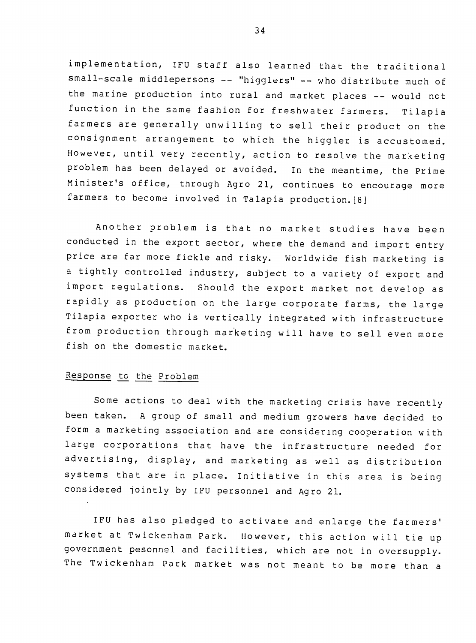implementation, IFU staff also learned that the traditional small-scale middlepersons -- "higglers" -- who distribute much of the marine production into rural and market places -- would not function in the same fashion for freshwater farmers. Tilapia farmers are generally unwilling to sell their product on the consignment arrangement to which the higgler is accustomed. However, until very recently, action to resolve the marketing problem has been delayed or avoided. In the meantime, the Prime Minister's office, through Agro 21, continues to encourage more farmers to become involved in Talapia production.[8]

Another problem is that no market studies have been conducted in the export sector, where the demand and import entry price are far more fickle and risky. Worldwide fish marketing is a tightly controlled industry, subject to a variety of export and import regulations. Should the export market not develop as rapidly as production on the large corporate farms, the large Tilapia exporter who is vertically integrated with infrastructure from production through marketing will have to sell even more fish on the domestic market.

# Response to the Problem

Some actions to deal with the marketing crisis have recently .<br>been taken. A group of small and medium growers have decided to form a marketing association and are considering cooperation with large corporations that have the infrastructure needed for advertising, display, and marketing as well as distribution systems that are in place. Initiative in this area is being considered jointly by IFU personnel and Agro 21.

IFU has also pledged to activate and enlarge the farmers' market at Twickenham Park. However, this action will tie up government pesonnel and facilities, which are not in oversupply. The Twickenham Park market was not meant to be more than a

34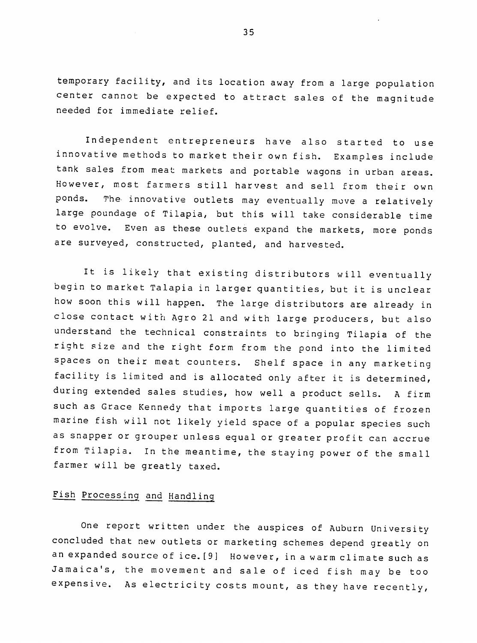temporary facility, and its location away from a large population center cannot be expected to attract sales of the magnitude needed for immediate relief.

Independent entrepreneurs have also started to use innovative methods to market their own fish. Examples include tank sales from meat markets and portable wagons in urban areas. However, most farmers still harvest and sell from their own ponds. The. innovative outlets may eventually move a relatively large poundage of Tilapia, but this will take considerable time to evolve. Even as these outlets expand the markets, more ponds are surveyed, constructed, planted, and harvested.

It is likely that existing distributors will eventually begin to market Talapia in larger quantities, but it is unclear how soon this will happen. The large distributors are already in close contact with Agro 21 and with large producers, but also understand the technical constraints to bringing Tilapia of the right size and the right form from the pond into the limited spaces on their meat counters. Shelf space in any marketing facility is limited and is allocated only after it is determined, during extended sales studies, how well a product sells. A firm such as Grace Kennedy that imports large quantities of frozen marine fish will not likely yield space of a popular species such as snapper or grouper unless equal or greater profit can accrue from Tilapia. In the meantime, the staying power of the small farmer will be greatly taxed.

# Fish Processing and Handling

One report written under the auspices of Auburn University concluded that new outlets or marketing schemes depend greatly on an expanded source of ice.[9] However, in a warm climate such as Jamaica's, the movement and sale of iced fish may be too expensive. As electricity costs mount, as they have recently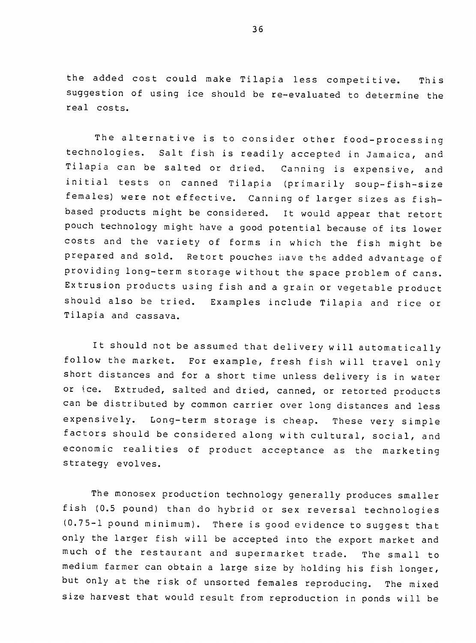the added cost could make Tilapia less competitive. This suggestion of using ice should be re-evaluated to determine the real costs.

The alternative is to consider other food-processing technologies. Salt fish is readily accepted in Jamaica, and Tilapia can be salted or dried. Canning is expensive, and initial tests on canned Tilapia (primarily soup-fish-size females) were not effective. Canning of larger sizes as fishbased products might be considered. It would appear that retort pouch technology might have a good potential because of its lower costs and the variety of forms in which the fish might be prepared and sold. Retort pouches ihave the added advantage of providing long-term storage without the space problem of cans. Extrusion products using fish and a grain or vegetable product should also be tried. Examples include Tilapia and rice or Tilapia and cassava.

It should not be assumed that delivery will automatically follow the market. For example, fresh fish will travel only short distances and for a short time unless delivery is in water or ice. Extruded, salted and dried, canned, or retorted products can be distributed by common carrier over long distances and less expensively. Long-term storage is cheap. These very simple factors should be considered along with cultural, social, and economic realities of product acceptance as the marketing strategy evolves.

The monosex production technology generally produces smaller fish (0.5 pound) than do hybrid or sex reversal technologies (0.75-1 pound minimum). There is good evidence to suggest that only the larger fish will be accepted into the export market and much of the restaurant and supermarket trade. The small to medium farmer can obtain a large size by holding his fish longer, but only at the risk of unsorted females reproducing. The mixed size harvest that would result from reproduction in ponds will be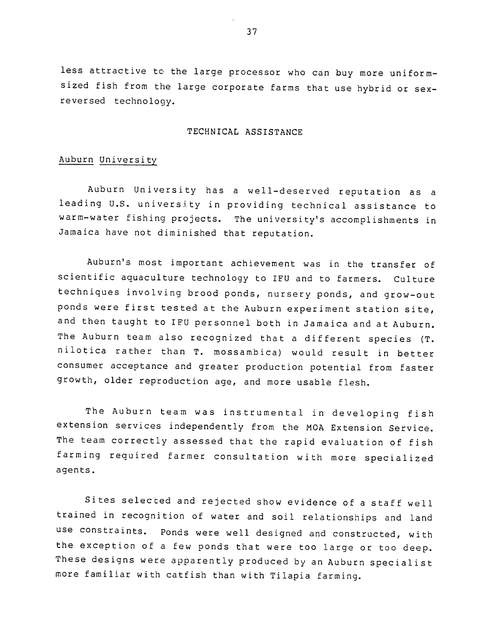less attractive to the large processor who can buy more uniformsized fish from the large corporate farms that use hybrid or sexreversed technology.

## TECHNICAL ASSISTANCE

## Auburn University

Auburn University has a well-deserved reputation as a leading U.S. university in providing technical assistance to warm-water fishing projects. The university's accomplishments in Jamaica have not diminished that reputation.

Auburn's most important achievement was in the transfer of scientific aquaculture technology to IFU and to farmers. Culture techniques involving brood ponds, nursery ponds, and grow-out ponds were first tested at the Auburn experiment station site, and then taught to IFU personnel both in Jamaica and at Auburn. The Auburn team also recognized that a different species (T. nilotica rather than T. mossambica) would result in better consumer acceptance and greater production potential from faster growth, older reproduction age, and more usable flesh.

The Auburn team was instrumental in developing fish extension services independently from the MOA Extension Service. The team correctly assessed that the rapid evaluation of fish farming required farmer consultation with more specialized agents.

Sites selected and rejected show evidence of a staff well trained in recognition of water and soil relationships and land use constraints. Ponds were well designed and constructed, with the exception of a few ponds that were too large or too deep. These designs were apparently produced by an Auburn specialist more familiar with catfish than with Tilapia farming.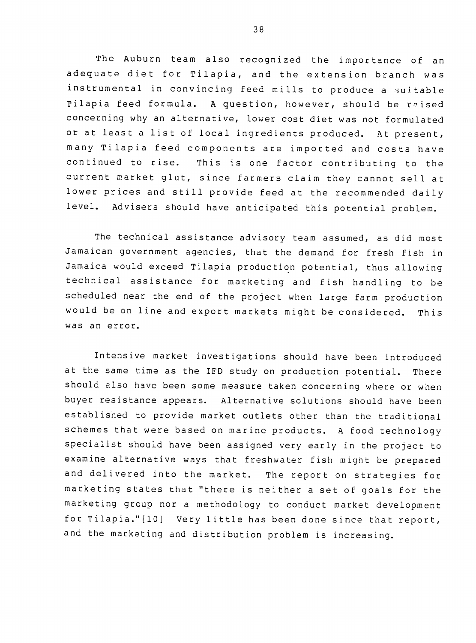The Auburn team also recognized the importance of an adequate diet for Tilapia, and the extension branch was instrumental in convincing feed mills to produce a suitable Tilapia feed formula. A question, however, should be raised concerning why an alternative, lower cost diet was not formulated or at least a list of local ingredients produced. At present, many Tilapia feed components are imported and costs have continued to rise. This is one factor contributing to the current market glut, since farmers claim they cannot sell at lower prices and still provide feed at the recommended daily level. Advisers should have anticipated this potential problem.

The technical assistance advisory team assumed, as did most Jamaican government agencies, that the demand for fresh fish in Jamaica would exceed Tilapia production potential, thus allowing technical assistance for marketing and fish handling to be scheduled near the end of the project when large farm production would be on line and export markets might be considered. This was an error.

Intensive market investigations should have been introduced at the same time as the IFD study on production potential. There should also have been some measure taken concerning where or when buyer resistance appears. Alternative solutions should have been established to provide market outlets other than the traditional schemes that were based on marine products. A food technology specialist should have been assigned very early in the project to examine alternative ways that freshwater fish might be prepared and delivered into the market. The report on strategies for marketing states that "there is neither a set of goals for the marketing group nor a methodology to conduct market development for Tilapia."[10] Very little has been done since that report, and the marketing and distribution problem is increasing.

**38**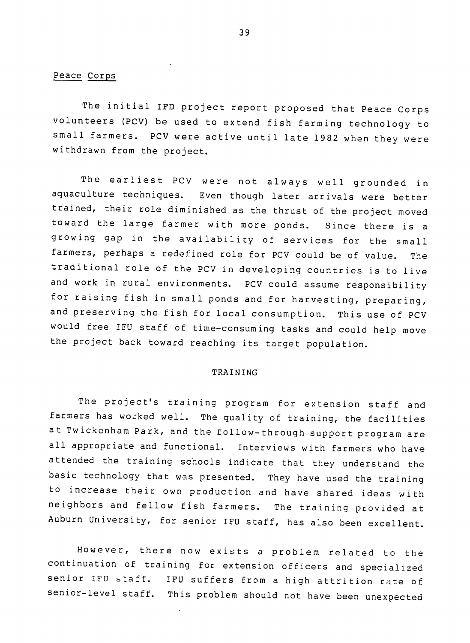# Peace Corps

The initial IFD project report proposed that Peace Corps volunteers (PCV) be used to extend fish farming technology to small farmers. PCV were active until late 1982 when they were withdrawn from the project.

The earliest PCV were not always well grounded in aquaculture techniques. Even though later arrivals were better trained, their role diminished as the thrust of the project moved toward the large farmer with more ponds. Since there is a which will must points. Since there is a<br>growing gap in the availability of services for the small farmers, perhaps a redefined role for PCV could be of value. The traditional role of the PCV in developing countries is to live and work in rural environments. PCV could assume responsibility for raising fish in small ponds and for harvesting, preparing, and preserving the fish for local consumption. This use of PCV would free IFU staff of time-consuming tasks and could help move the project back toward reaching its target population.

#### TRAINING

The project's training program for extension staff and farmers has wo:ked well. The quality of training, the facilities at Twickenham Park, and the follow-through support program are all appropriate and functional. Interviews with farmers who have attended the training schools indicate that they understand the basic technology that was presented. They have used the training to increase their own production and have shared ideas with neighbors and fellow fish farmers. The training provided at Auburn University, for senior IFU staff, has also been excellent.

However, there now exists a problem related to the continuation of training for extension officers and specialized senior IFU btaff. IFU suffers from a high attrition rate of senior-level staff. This problem should not have been unexpected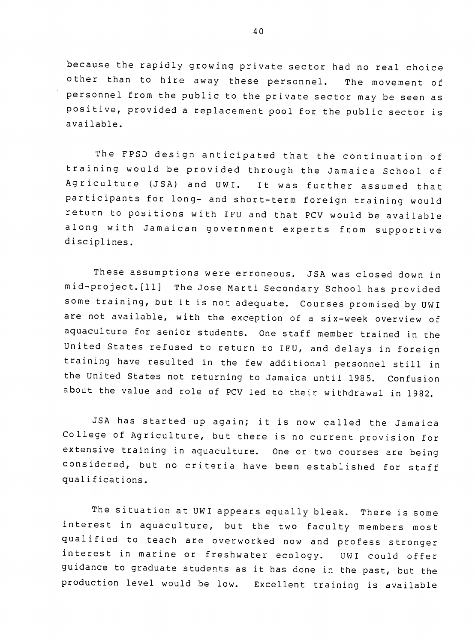because the rapidly growing private sector had no real choice other than to hire away these personnel. The movement of personnel from the public to the private sector may be seen as positive, provided a replacement pool for the public sector is available.

The FPSD design anticipated that the continuation of training would be provided through the Jamaica School of Agriculture (JSA) and UWI. further assumed that participants for long- and short-term foreign training would return to positions with IFU and that PCV would be available along with Jamaican government experts from supportive disciplines.

These assumptions were erroneous. JSA was closed down in mid-project. (ll] The Jose Marti Secondary School has provided some training, but it is not adequate. Courses promised by UWI are not available, with the exception of a six-week overview of aquaculture for senior students. One staff member trained in the United States refused to return to IFU, and delays in foreign training have resulted in the few additional personnel still in the United States not returning to Jamaica until 1985. Confusion about the value and role of PCV led to their withdrawal in 1982.

JSA has started up again; it is now called the Jamaica College of Agriculture, but there is no current provision for extensive training in aquaculture. One or two courses are being considered, but no criteria have been established for staff qualifications.

The situation at UWI appears equally bleak. There is some interest in aquaculture, but the two faculty members most qualified to teach are overworked now and profess stronger interest in marine or freshwater ecology. UWI could offer guidance to graduate students as it has done in the past, but the production level would be low. Excellent training is available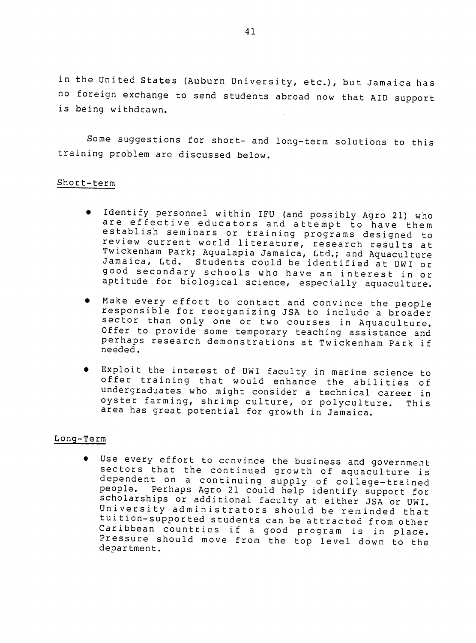in the United States (Auburn University, etc.), but Jamaica has no foreign exchange to send students abroad now that AID support is being withdrawn.

Some suggestions for short- and long-term solutions to this training problem are discussed below.

## Short-term

- Identify personnel within IFU (and possibly Agro 21) who racherry personner within iro (and possibly Agro 21) who<br>are effective educators and attempt to have them<br>establish seminars or training programs designed to establish seminars or training programs designed to establish seminars or training programs designed to<br>review current world literature, research results at<br>Twickenham Park; Aqualapia Jamaica, Ltd.: and Aguaculture Jamaica, Ltd. Students could be identified at UWI or good secondary schools who have an interest in or aptitude for biological science, especially aquaculture.
- $\bullet$  Make every effort to contact and convince the people ..... every effort to contact and convince the people<br>responsible for reorganizing JSA to include a broader<br>sector than only one or two courses in Acuseulture sector than only one or two courses in Aquaculture. Offer to provide some temporary teaching assistance and offer to provide some temporary teaching assistance and<br>perhaps research demonstrations at Twickenham Park if<br>needed. needed.
- Exploit the interest of UWI faculty in marine science to<br>offer training that would enhance the abilities of offer training that would enhance the abilities of undergraduates who might consider a technical career in oyster farming, shrimp culture, or polyculture. This area has great potential for growth in Jamaica.

## Long-Term

\* Use every effort to ccnvince the business and government sectors that the continued growth of aquaculture is sectors that the continued growth of aquaculture is<br>dependent on a continuing supply of college-trained people. Perhaps Agro 21 could help identify support for scholarships or additional faculty at either JSA or UWI. sensialships of additional raculty at either JSA or UWI.<br>University administrators should be reminded that tuition-supported students can be attracted from other Caribbean countries if a good program is in place. Pressure should move from the top level down to the department.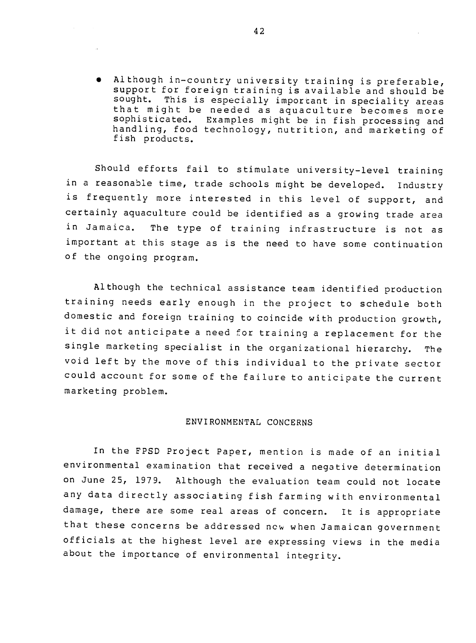$\bullet$  Although in-country university training is preferable, support for foreign training is available and should be sought. This is especially important in speciality areas that might be needed as aquaculture becomes more sophisticated. Examples might be in fish processing and sophisticated. Examples might be in fish processing and<br>handling, food technology, nutrition, and marketing of fish products.

Should efforts fail to stimulate university-level training in a reasonable time, trade schools might be developed. Industry is frequently more interested in this level of support, and certainly aquaculture could be identified as a growing trade area in Jamaica. The type of training infrastructure is not as important at this stage as is the need to have some continuation of the ongoing program.

Although the technical assistance team identified production training needs early enough in the project to schedule both domestic and foreign training to coincide with production growth, it did not anticipate a need for training a replacement for the single marketing specialist in the organizational hierarchy. The void left by the move of this individual to the private sector could account for some of the failure to anticipate the current marketing problem.

#### ENVIRONMENTAL CONCERNS

In the FPSD Project Paper, mention is made of an initial environmental examination that received a negative determination on June 25, 1979. Although the evaluation team could not locate any data directly associating fish farming with environmental damage, there are some real areas of concern. It is appropriate that these concerns be addressed ncw when Jamaican government officials at the highest level are expressing views in the media about the importance of environmental integrity.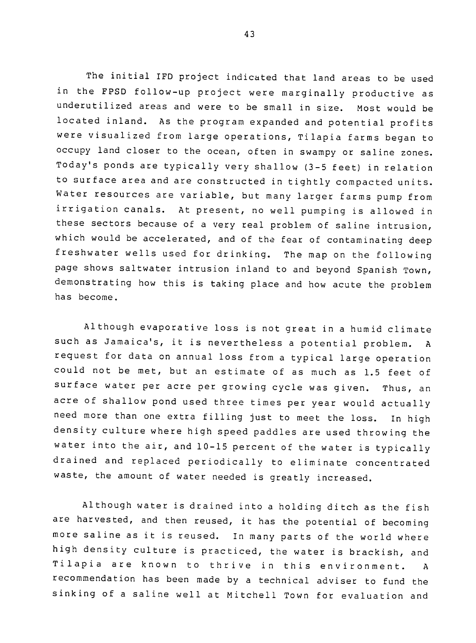The initial IFD project indicated that land areas to be used in the FPSD follow-up project were marginally productive as underutilized areas and were to be small in size. Most would be located inland. As the program expanded and potential profits were visualized from large operations, Tilapia farms began to occupy land closer to the ocean, often in swampy or saline zones. Today's ponds are typically very shallow (3-5 feet) in relation to surface area and are constructed in tightly compacted units. Water resources are variable, but many larger farms pump from irrigation canals. At present, no well pumping is allowed in these sectors because of a very real problem of saline intrusion, which would be accelerated, and of the fear of contaminating deep freshwater wells used for drinking. The map on the following page shows saltwater intrusion inland to and beyond Spanish Town, demonstrating how this is taking place and how acute the problem has become.

Although evaporative loss is not great in a humid climate such as Jamaica's, it is nevertheless a potential problem. A request for data on annual loss from a typical large operation could not be met, but an estimate of as much as 1.5 feet of surface water per acre per growing cycle was given. Thus, an acre of shallow pond used three times per year would actually need more than one extra filling just to meet the loss. In high density culture where high speed paddles are used throwing the water into the air, and 10-15 percent of the water is typically drained and replaced periodically to eliminate concentrated waste, the amount of water needed is greatly increased.

Although water is drained into a holding ditch as the fish are harvested, and then reused, it has the potential of becoming more saline as it is reused. In many parts of the world where high density culture is practiced, the water is brackish, and Tilapia are known to thrive in this environment. A recommendation has been made by a technical adviser to fund the sinking of a saline well at Mitchell Town for evaluation and

43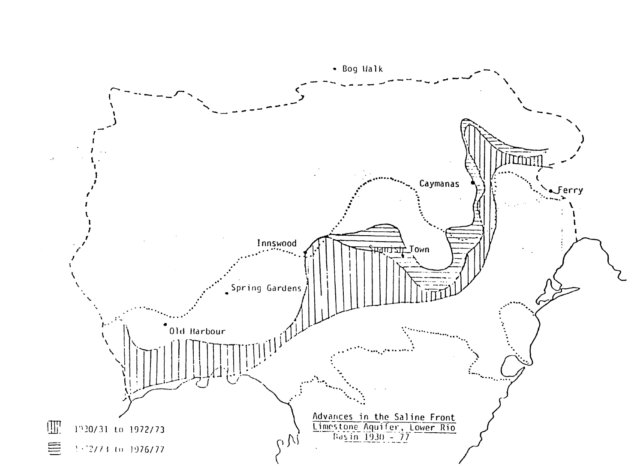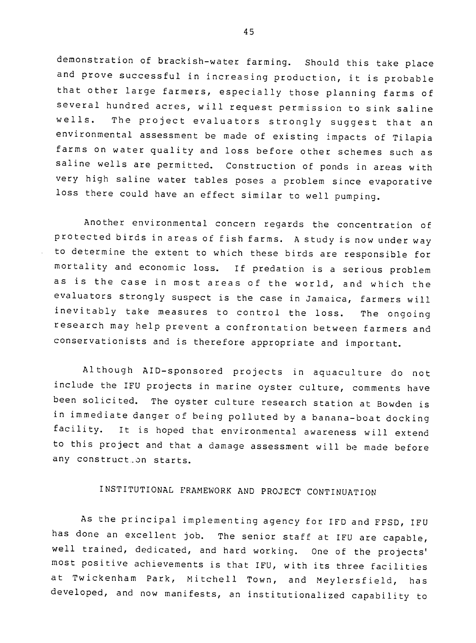demonstration of brackish-water farming. Should this take place and prove successful in increasing production, it is probable that other large farmers, especially those planning farms of several hundred acres, will request permission to sink saline wells. The project evaluators strongly suggest that an environmental assessment be made of existing impacts of Tilapia farms on water quality and loss before other schemes such as saline wells are permitted. Construction of ponds in areas with very high saline water tables poses a problem since evaporative loss there could have an effect similar to well pumping.

Another environmental concern regards the concentration of protected birds in areas of fish farms. A study is now under way to determine the extent to which these birds are responsible for mortality and economic loss. If predation is a serious problem as is the case in most areas of the world, and which the evaluators strongly suspect is the case in Jamaica, farmers will inevitably take measures to control the loss. The ongoing research may help prevent a confrontation between farmers and conservationists and is therefore appropriate and important.

Although AID-sponsored projects in aquaculture do not include the IFU projects in marine oyster culture, comments have been solicited. The oyster culture research station at Bowden is in immediate danger of being polluted by a banana-boat docking facility. It is hoped that environmental awareness will extend to this project and that a damage assessment will be made before any construct.on starts.

# INSTITUTIONAL FRAMEWORK AND PROJECT CONTINUATION

As the principal implementing agency for IFD and FPSD, IFU has done an excellent job. The senior staff at IFU are capable well trained, dedicated, and hard working. One of the projects' most positive achievements is that IFU, with its three facilities at Twickenham Park, Mitchell Town, and Meylersfield, has developed, and now manifests, an institutionalized capability to

45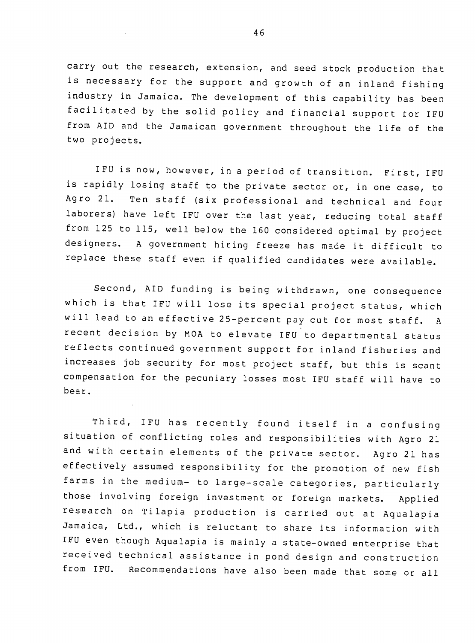carry out the research, extension, and seed stock production that is necessary for the support and growth of an inland fishing industry in Jamaica. The development of this capability has been facilitated by the solid policy and financial support tor IFU from AID and the Jamaican government throughout the life of the two projects.

IFU is now, however, in a period of transition. First, IFU is rapidly losing staff to the private sector or, in one case, to Agro 21. Ten staff (six professional and technical and four laborers) have left IFU over the last year, reducing total staff from 125 to 115, well below the 160 considered optimal by project designers. A government hiring freeze has made it difficult to replace these staff even if qualified candidates were available.

Second, AID funding is being withdrawn, one consequence which is that IFU will lose its special project status, which will lead to an effective 25-percent pay cut for most staff. A recent decision by MOA to elevate IFU to departmental status reflects continued government support for inland fisheries and increases job security for most project staff, but this is scant compensation for the pecuniary losses most IFU staff will have to bear.

Third, IFU has recently found itself in a confusing situation of conflicting roles and responsibilities with Agro 21 and with certain elements of the private sector. Agro 21 has effectively assumed responsibility for the promotion of new fish farms in the medium- to large-scale categories, particularly those involving foreign investment or foreign markets. Applied research on Tilapia production is carried out at Aqualapia Jamaica, Ltd., which is reluctant to share its information with IFU even though Aqualapia is mainly a state-owned enterprise that received technical assistance in pond design and construction from IFU. Recommendations have also been made that some or all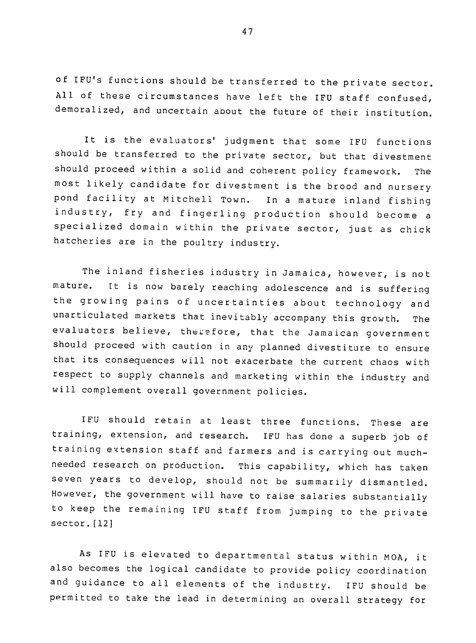of IFU's functions should be transferred to the private sector. All of these circumstances have left the IFU staff confused, demoralized, and uncertain about the future of their institution.

It is the evaluators' judgment that some IFU functions should be transferred to the private sector, but that divestment should proceed within a solid and coherent policy framework. The most likely candidate for divestment is the brood and nursery pond facility at Mitchell Town. In a mature inland fishing industry, fry and fingerling production should become a specialized domain within the private sector, just as chick hatcheries are in the poultry industry.

The inland fisheries industry in Jamaica, however, is not mature. It is now barely reaching adolescence and is suffering the growing pains of uncertainties about technology and unarticulated markets that inevitably accompany this growth. The evaluators believe, therefore, that the Jamaican government should proceed with caution in any planned divestiture to ensure that its consequences will not exacerbate the current chaos with respect to supply channels and marketing within the industry and will complement overall government policies.

IFU should retain at least three functions. These are training, extension, and research. IFU has done a superb job of training extension staff and farmers and is carrying out muchneeded research on production. This capability, which has taken seven years to develop, should not be summarily dismantled. However, the government will have to raise salaries substantially to keep the remaining IFU staff from jumping to the private sector. [12]

As IFU is elevated to departmental status within MOA, it also becomes the logical candidate to provide policy coordination and guidance to all elements of the industry. IFU should be permitted to take the lead in determining an overall strategy for

47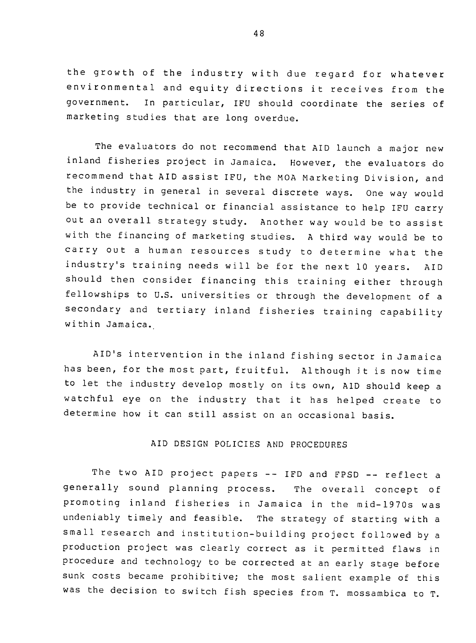the growth of the industry with due regard for whatever environmental and equity directions it receives from the government. In particular, IFU should coordinate the series of marketing studies that are long overdue.

The evaluators do not recommend that AID launch a major new inland fisheries project in Jamaica. However, the evaluators do recommend that AID assist IFU, the MOA Marketing Division, and the industry in general in several discrete ways. One way would be to provide technical or financial assistance to help IFU carry out an overall strategy study. Another way would be to assist with the financing of marketing studies. A third way would be to carry out a human resources study to determine what the industry's training needs will be for the next **10** years. AID should then consider financing this training either through fellowships to U.S. universities or through the development of a secondary and tertiary inland fisheries training capability within Jamaica.

AID's intervention in the inland fishing sector in Jamaica has been, for the most part, fruitful. Although **it** is now time to let the industry develop mostly on its own, AID should keep a watchful eye on the industry that it has helped create to determine how it can still assist on an occasional basis.

## AID DESIGN POLICIES AND PROCEDURES

The two AID project papers -- IFD and FPSD -- reflect a generally sound planning process. The overall concept of promoting inland fisheries in Jamaica in the mid-1970s was undeniably timely and feasible. The strategy of starting with a small research and institution-building project followed by a production project was clearly correct as it permitted flaws in procedure and technology to be corrected at an early stage before sunk costs became prohibitive; the most salient example of this was the decision to switch fish species from T. mossambica to T.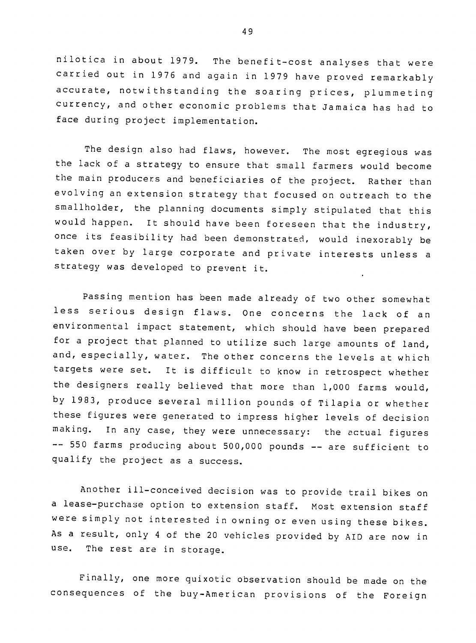nilotica in about 1979. The benefit-cost analyses that were carried out in 1976 and again in 1979 have proved remarkably accurate, notwithstanding the soaring prices, plummeting currency, and other economic problems that Jamaica has had to face during project implementation.

The design also had flaws, however. The most egregious was the lack of a strategy to ensure that small farmers would become the main producers and beneficiaries of the project. Rather than evolving an extension strategy that focused on outreach to the smallholder, the planning documents simply stipulated that this would happen. It should have been foreseen that the industry, once its feasibility had been demonstrated, would inexorably be taken over by large corporate and private interests unless a strategy was developed to prevent it.

Passing mention has been made already of two other somewhat less serious design flaws. One concerns the lack of an environmental impact statement, which should have been prepared for a project that planned to utilize such large amounts of land, and, especially, water. The other concerns the levels at which targets were set. It is difficult to know in retrospect whether the designers really believed that more than 1,000 farms would, by 1983, produce several million pounds of Tilapia or whether these figures were generated to impress higher levels of decision making. In any case, they were unnecessary: the actual figures -- 550 farms producing about 500,000 pounds -- are sufficient to qualify the project as a success.

Another ill-conceived decision was to provide trail bikes on a lease-purchase option to extension staff. Most extension staff were simply not interested in owning or even using these bikes. As a result, only 4 of the 20 vehicles provided by AID are now in use. The rest are in storage.

Finally, one more quixotic observation should be made on the consequences of the buy-American provisions of the Foreign

49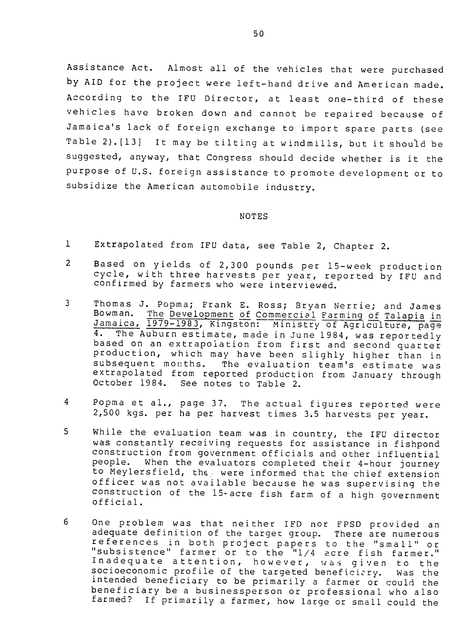Assistance Act. Almost all of the vehicles that were purchased by AID for the project were left-hand drive and American made. According to the IFU Director, at least one-third of these vehicles have broken down and cannot be repaired because of Jamaica's lack of foreign exchange to import spare parts (see Table 2).[13] It may be tilting at windmills, but it should be suggested, anyway, that Congress should decide whether is it the purpose of U.S. foreign assistance to promote development or to subsidize the American automobile industry.

#### NOTES

- 1 Extrapolated from IFU data, see Table 2, Chapter 2.
- <sup>2</sup> Based on yields of 2,300 pounds per 15-week production cycle, with three harvests per year, reported by IFU and confirmed by farmers who were interviewed. Ĩ.
- **<sup>3</sup>** Thomas J. Popma; Frank **E.** Ross; Bryan Nerrie; and James The Development of Commercial Farming of Talapia in Jamaica, 1979-1983, Kingston: Ministry of Agriculture, page 4. The Auburn estimate, made in June 1984, was reportedly based on an extrapolation from first and second quarter production, which may have been slighly higher than in subsequent morths. The evaluation team's estimate was extrapolated from reported production from January through October 1984. See notes to Table 2.
- <sup>4</sup> Popma et al., page 37. The actual figures reported were 2,500 kgs. per ha per harvest times 3.5 harvests per year.
- 5 While the evaluation team was in country, the IFU director was constantly receiving requests for assistance in fishpond construction from government officials and other influential people. When the evaluators completed their 4-hour journey to Meylersfield, the. were informed that the chief extension officer was not available because he was supervising the construction of the 15-acre fish farm of a high government official.
- **6**  One problem was that neither IFD nor FPSD provided an adequate definition of the target group. There are numerous adequate definition of the target group. There are numerous<br>references in both project papers to the "small" or "subsistence" farmer or to the "1/4 acre fish farmer." subsistence flarmer or to the "I/4 acre rish farmer."<br>Inadequate attention, however, was given to the socioeconomic profile of the targeted beneficiary. Was the<br>intended beneficiary to be primarily a farmer or could the intended beneficiary to be primarily a farmer or could the beneficiary be a businessperson or professional who also farmed? If primarily a farmer, how large or small could the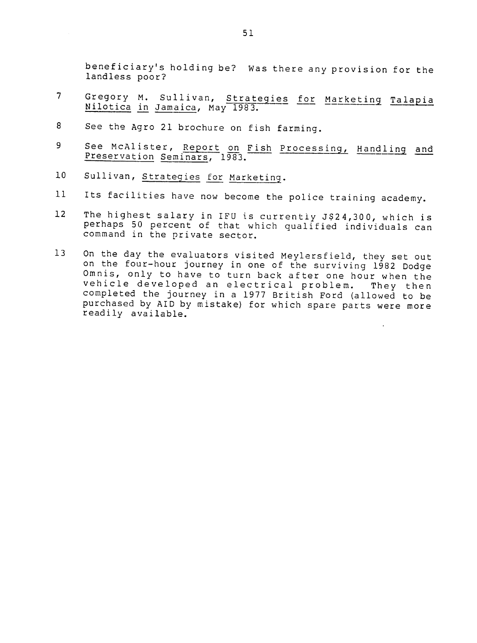beneficiary's holding be? Was there any provision for the landless poor? 7 Gregory M. Sullivan, Strategies for Marketing Talaia

- Nilotica in Jamaica, May **1983.**
- 8 See the Agro 21 brochure on fish farming.
- 9 See McAlister, Report on Fish Processing, Handling and Preservation Seminars, 1983.
- **10**  Sullivan, Strategies for Marketing.
- **11**  Its facilities have now become the police training academy.
- <sup>12</sup> The highest salary in IFU is currently J\$24,300, which is perhaps 50 percent of that which qualified individuals can command in the private sector.
- <sup>13</sup> On the day the evaluators visited Meylersfield, they set out on the four-hour journey in one of the surviving 1982 Dodge Omnis, only to have to turn back after one hour when the vehicle developed an electrical problem. They then completed the journey in a 1977 British Ford (allowed to be purchased by AID by mistake) for which spare parts were more readily available.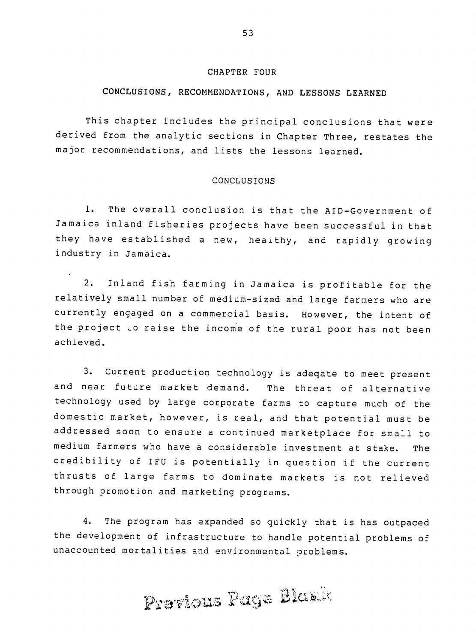#### CHAPTER FOUR

# **CONCLUSIONS,** RECOMMENDATIONS, **AND LESSONS LEARNED**

This chapter includes the principal conclusions that were derived from the analytic sections in Chapter Three, restates the major recommendations, and lists the lessons learned.

## CONCLUSIONS

**1.** The overall conclusion is that the AID-Government of Jamaica inland fisheries projects have been successful in that they have established a new, heaithy, and rapidly growing industry in Jamaica.

2. Inland fish farming in Jamaica is profitable for the relatively small number of medium-sized and large farmers who are currently engaged on a commercial basis. However, the intent of the project .o raise the income of the rural poor has not been achieved.

3. Current production technology is adeqate to meet present and near future market demand. The threat of alternative technology used by large corporate farms to capture much of the domestic market, however, is real, and that potential must be addressed soon to ensure a continued marketplace for small to medium farmers who have a considerable investment at stake. The credibility of IFU is potentially in question if the current thrusts of large farms to dominate markets is not relieved through promotion and marketing programs.

4. The program has expanded so quickly that is has outpaced the development of infrastructure to handle potential problems of unaccounted mortalities and environmental problems.

Previous Page Blask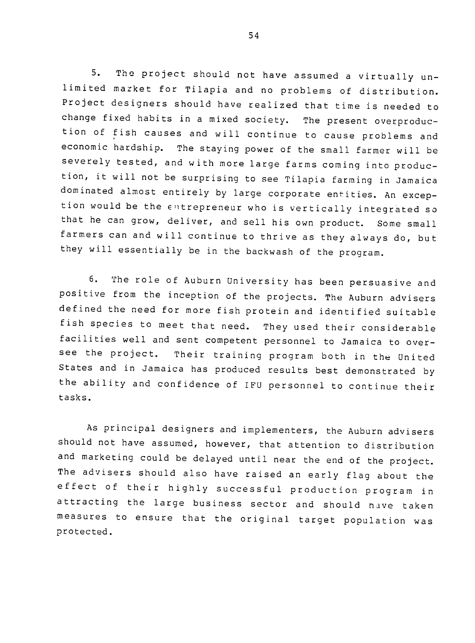5. The project should not have assumed a virtually unlimited market for Tilapia and no problems of distribution. Project designers should have realized that time is needed to change fixed habits in a mixed society. The present overproduction of fish causes and will continue to cause problems and economic hardship. The staying power of the small farmer will be severely tested, and with more large farms coming into production, it will not be surprising to see Tilapia farming in Jamaica dominated almost entirely by large corporate entities. An exception would be the entrepreneur who is vertically integrated so that he can grow, deliver, and sell his own product. Some small farmers can and will continue to thrive as they always do, but they will essentially be in the backwash of the program.

6. The role of Auburn University has been persuasive and positive from the inception of the projects. The Auburn advisers defined the need for more fish protein and identified suitable fish species to meet that need. They used their considerable facilities well and sent competent personnel to Jamaica to oversee the project. Their training program both in the United States and in Jamaica has produced results best demonstrated by the ability and confidence of IFU personnel to continue their tasks.

As principal designers and implementers, the Auburn advisers should not have assumed, however, that attention to distribution and marketing could be delayed until near the end of the project. The advisers should also have raised an early flag about the effect of their highly successful production program in attracting the large business sector and should have taken measures to ensure that the original target population was protected.

54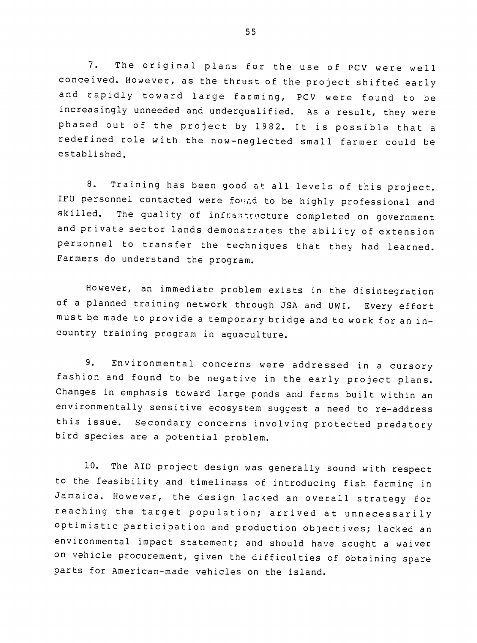7. The original plans for the use of PCV were well conceived. However, as the thrust of the project shifted early and rapidly toward large farming, PCV were found to be increasingly unneeded and underqualified. As a result, they were phased out of the project by 1982. It is possible that a redefined role with the now-neglected small farmer could be established.

8. Training has been good at all levels of this project. IFU personnel contacted were found to be highly professional and skilled. The quality of infrastructure completed on government and private sector lands demonstrates the ability of extension personnel to transfer the techniques that they had learned. Farmers do understand the program.

However, an immediate problem exists in the disintegration of a planned training network through JSA and UWI. Every effort must be made to provide a temporary bridge and to work for an incountry training program in aquaculture.

9. Environmental concerns were addressed in a cursory fashion and found to be negative in the early project plans. Changes in emphasis toward large ponds and farms built within an environmentally sensitive ecosystem suggest a need to re-address this issue. Secondary concerns involving protected predatory bird species are a potential problem.

**10.** The AID project design was generally sound with respect to the feasibility and timeliness of introducing fish farming in Jamaica. However, the design lacked an overall strategy for reaching the target population; arrived at unnecessarily optimistic participation and production objectives; lacked an environmental impact statement; and should have sought a waiver on vehicle procurement, given the difficulties of obtaining spare parts for American-made vehicles on the island.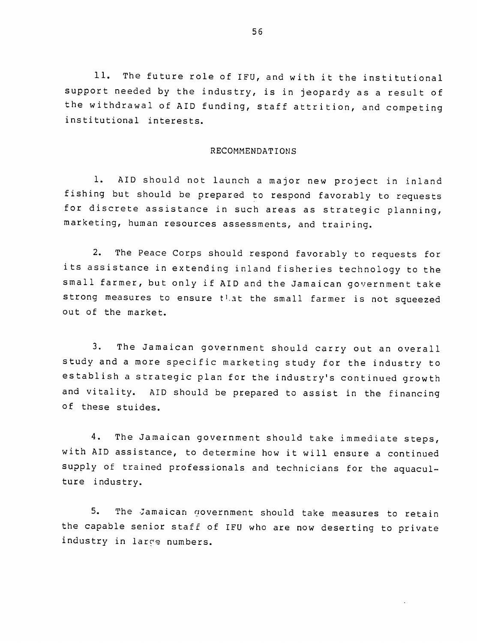**11.**  The future role of IFU, and with it the institutional support needed by the industry, is in jeopardy as a result of the withdrawal of AID funding, staff attrition, and competing institutional interests.

#### RECOMMENDATIONS

**1.** AID should not launch a major new project in inland fishing but should be prepared to respond favorably to requests for discrete assistance in such areas as strategic planning, marketing, human resources assessments, and training.

2. The Peace Corps should respond favorably to requests for its assistance in extending inland fisheries technology to the small farmer, but only if AID and the Jamaican government take strong measures to ensure that the small farmer is not squeezed out of the market.

3. The Jamaican government should carry out an overall study and a more specific marketing study for the industry to establish a strategic plan for the industry's continued growth and vitality. AID should be prepared to assist in the financing of these stuides.

4. The Jamaican government should take immediate steps, with AID assistance, to determine how it will ensure a continued supply of trained professionals and technicians for the aquaculture industry.

5. The Jamaican government should take measures to retain the capable senior staff of IFU who are now deserting to private industry in larce numbers.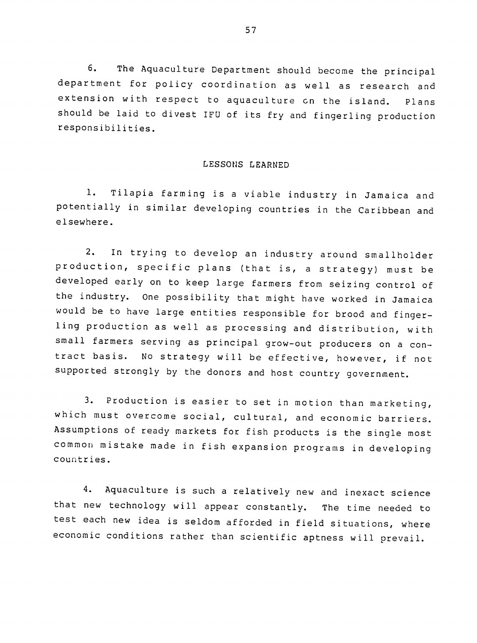6. The Aquaculture Department should become the principal department for policy coordination as well as research and extension with respect to aquaculture on the island. Plans should be laid to divest IFU of its fry and fingerling production responsibilities.

#### LESSONS LEARNED

**1.** Tilapia farming is a viable industry in Jamaica and potentially in similar developing countries in the Caribbean and elsewhere.

2. In trying to develop an industry around smallholder production, specific plans (that is, a strategy) must be developed early on to keep large farmers from seizing control of the industry. One possibility that might have worked in Jamaica would be to have large entities responsible for brood and fingerling production as well as processing and distribution, with small farmers serving as principal grow-out producers on a con tract basis. No strategy will be effective, however, if not supported strongly by the donors and host country government.

3. Production is easier to set in motion than marketing, which must overcome social, cultural, and economic barriers. Assumptions of ready markets for fish products is the single most common mistake made in fish expansion programs in developing countries.

4. Aquaculture is such a relatively new and inexact science that new technology will appear constantly. The time needed to test each new idea is seldom afforded in field situations, where economic conditions rather than scientific aptness will prevail.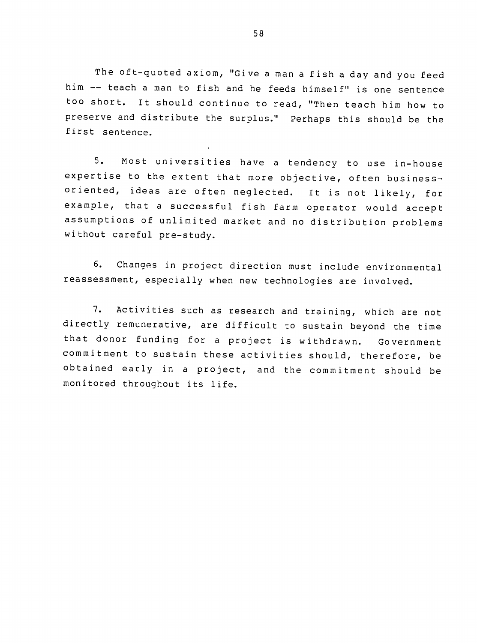The oft-quoted axiom, "Give a man a fish a day and you feed him -- teach a man to fish and he feeds himself" is one sentence too short. It should continue to read, "Then teach him how to preserve and distribute the surplus." Perhaps this should be the first sentence.

5. Most universities have a tendency to use in-house expertise to the extent that more objective, often businessoriented, ideas are often neglected. It is not likely, for example, that a successful fish farm operator would accept assumptions of unlimited market and no distribution problems without careful pre-study.

6. Changes in project direction must include environmental reassessment, especially when new technologies are involved.

7. Activities such as research and training, which are not directly remunerative, are difficult to sustain beyond the time that donor funding for a project is withdrawn. Government commitment to sustain these activities should, therefore, be obtained early in a project, and the commitment should be monitored throughout its life.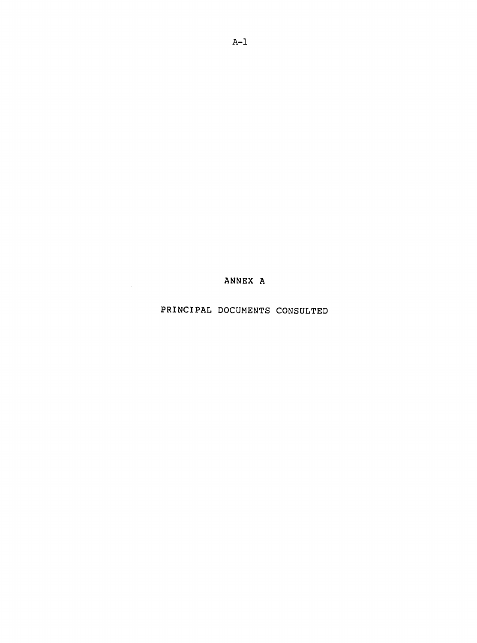**ANNEX A** 

PRINCIPAL DOCUMENTS CONSULTED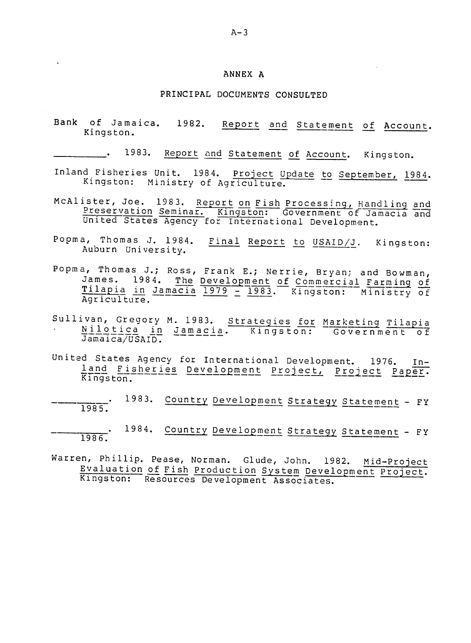#### **ANNEX A**

#### PRINCIPAL **DOCUMENTS CONSULTED**

Bank of Jamaica. 1982. Report and Statement of Account. Kingston.

1983. Report and Statement of Account. Kingston.

- Inland Fisheries Unit. 1984. Project Update to September, 1984. xingston: Ministry of Agriculture. Γ
- McAlister, Joe. 1983. Report on Fish Processing, Handling and<br>Preservation Seminar. Kingston: Government of Jamacia and United States Agency for International Development.
- Popma, Thomas J. 1984. Final Report to USAID/J. Kingston: Auburn University.
- Popma, Thomas J.; Ross, Frank E.; Nerrie, Bryan; and Bowman,<br>James. 1984. <u>The Development of Commercial Farming of</u><br>Tilapia in Jamacia 1979 1983. Kingston: Ministry of Agriculture.
- Sullivan, Gregory M. 1983. Strategies for Marketing Tilapi .<br>Nilo van, Gregory m. 1983. <u>Strategies for Marketing Tilapi</u><br>Nilotica in Jamacia. Kingston: Government o
- United States Agency for International Development. 1976. Inland Fisheries Development Project, Project Paper.
- 1983. Country Development Strategy Statement FY 1985.
- . 1984. Country Development Strategy Statement FV 1986.
- Warren, Phillip. Pease, Norman. Glude, John. 1982. Mid-Project Evaluation of Fish Production System Development Project. Kingston: Resources Development Associates.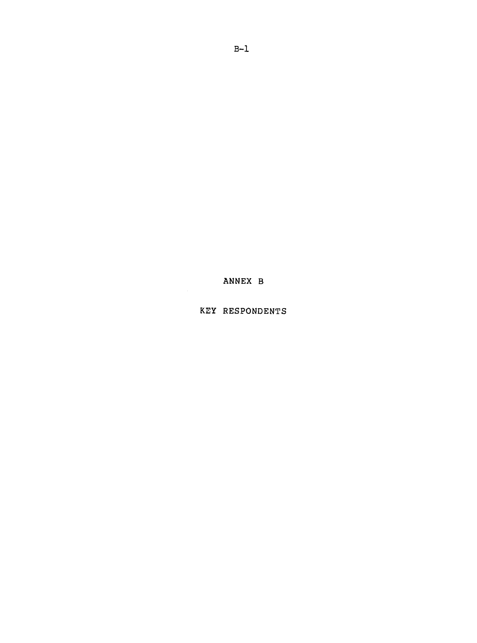KEY RESPONDENTS

ANNEX B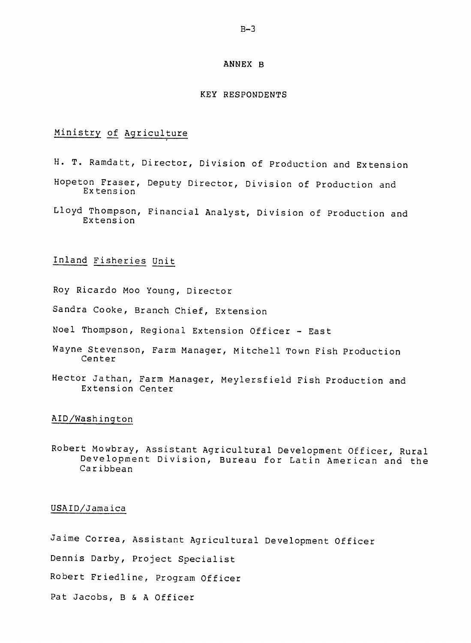#### **ANNEX** B

#### KEY **RESPONDENTS**

# Ministry of Agriculture

- H. T. Ramdatt, Director, Division of Production and Extension
- Hopeton Fraser, Deputy Director, Division of Production and Extension
- Lloyd Thompson, Financial Analyst, Division of Production and Extension

# Inland Fisheries Unit

- Roy Ricardo Moo Young, Director
- Sandra Cooke, Branch Chief, Extension
- Noel Thompson, Regional Extension Officer East
- Wayne Stevenson, Farm Manager, Mitchell Town Fish Production Center
- Hector Jathan, Farm Manager, Meylersfield Fish Production and Extension Center

#### AID/Washington

Robert Mowbray, Assistant Agricultural Development Officer, Rural Development Division, Bureau for Latin American and the Caribbean

## USAID/Jamaica

Jaime Correa, Assistant Agricultural Development Officer

Dennis Darby, Project Specialist

Robert Friedline, Program Officer

Pat Jacobs, B & A Officer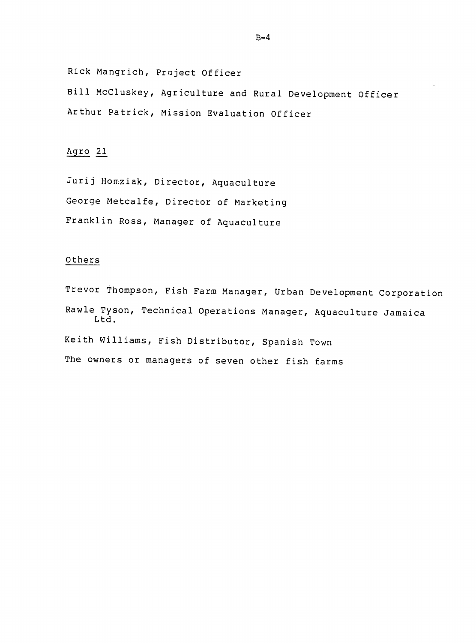Rick Mangrich, Project Officer

Bill McCluskey, Agriculture and Rural Development Officer Arthur Patrick, Mission Evaluation Officer

# Agro 21

Jurij Homziak, Director, Aquaculture George Metcalfe, Director of Marketing Franklin Ross, Manager of Aquaculture

## Others

Trevor Thompson, Fish Farm Manager, Urban Development Corporation Rawle Tyson, Technical Operations Manager, Aquaculture Jamaica Ltd. Keith Williams, Fish Distributor, Spanish Town The owners or managers of seven other fish farms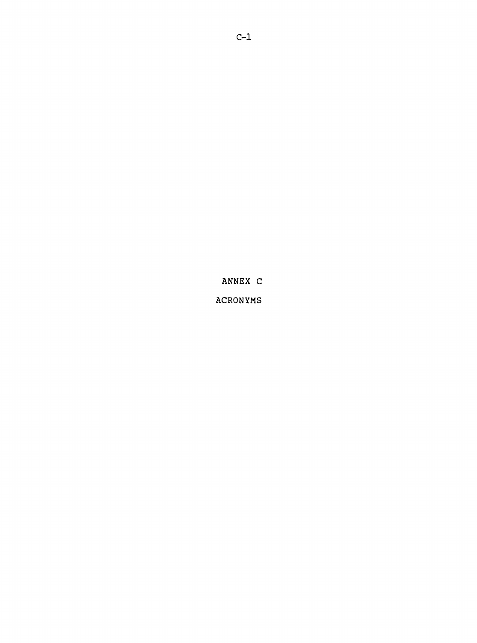**ANNEX C** 

ACRONYMS